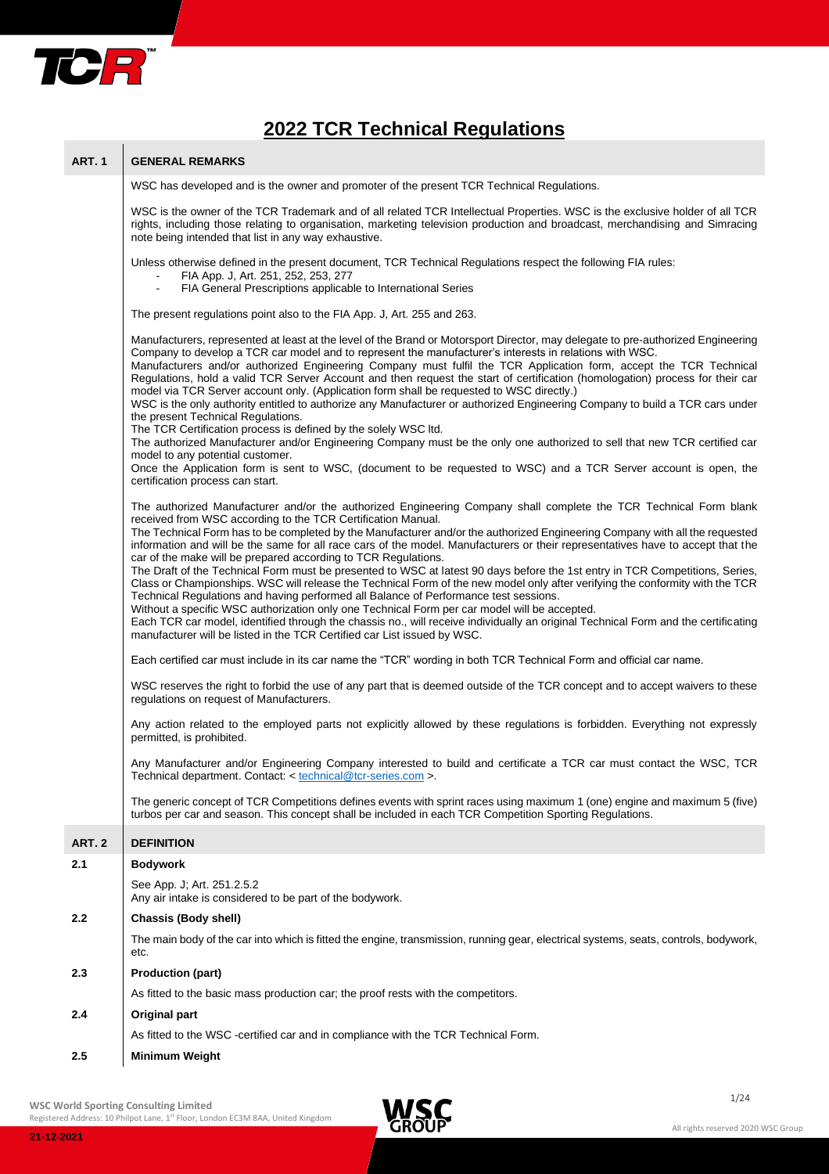

**ART. 1 GENERAL REMARKS**

# **2022 TCR Technical Regulations**

## WSC has developed and is the owner and promoter of the present TCR Technical Regulations. WSC is the owner of the TCR Trademark and of all related TCR Intellectual Properties. WSC is the exclusive holder of all TCR rights, including those relating to organisation, marketing television production and broadcast, merchandising and Simracing note being intended that list in any way exhaustive. Unless otherwise defined in the present document, TCR Technical Regulations respect the following FIA rules: FIA App. J, Art. 251, 252, 253, 277 FIA General Prescriptions applicable to International Series The present regulations point also to the FIA App. J, Art. 255 and 263. Manufacturers, represented at least at the level of the Brand or Motorsport Director, may delegate to pre-authorized Engineering Company to develop a TCR car model and to represent the manufacturer's interests in relations with WSC. Manufacturers and/or authorized Engineering Company must fulfil the TCR Application form, accept the TCR Technical Regulations, hold a valid TCR Server Account and then request the start of certification (homologation) process for their car model via TCR Server account only. (Application form shall be requested to WSC directly.) WSC is the only authority entitled to authorize any Manufacturer or authorized Engineering Company to build a TCR cars under the present Technical Regulations. The TCR Certification process is defined by the solely WSC ltd. The authorized Manufacturer and/or Engineering Company must be the only one authorized to sell that new TCR certified car model to any potential customer. Once the Application form is sent to WSC, (document to be requested to WSC) and a TCR Server account is open, the certification process can start. The authorized Manufacturer and/or the authorized Engineering Company shall complete the TCR Technical Form blank received from WSC according to the TCR Certification Manual. The Technical Form has to be completed by the Manufacturer and/or the authorized Engineering Company with all the requested information and will be the same for all race cars of the model. Manufacturers or their representatives have to accept that the car of the make will be prepared according to TCR Regulations. The Draft of the Technical Form must be presented to WSC at latest 90 days before the 1st entry in TCR Competitions, Series, Class or Championships. WSC will release the Technical Form of the new model only after verifying the conformity with the TCR Technical Regulations and having performed all Balance of Performance test sessions. Without a specific WSC authorization only one Technical Form per car model will be accepted. Each TCR car model, identified through the chassis no., will receive individually an original Technical Form and the certificating manufacturer will be listed in the TCR Certified car List issued by WSC. Each certified car must include in its car name the "TCR" wording in both TCR Technical Form and official car name. WSC reserves the right to forbid the use of any part that is deemed outside of the TCR concept and to accept waivers to these regulations on request of Manufacturers. Any action related to the employed parts not explicitly allowed by these regulations is forbidden. Everything not expressly permitted, is prohibited. Any Manufacturer and/or Engineering Company interested to build and certificate a TCR car must contact the WSC, TCR Technical department. Contact: [< technical@tcr-series.com](mailto:technical@tcr-series.com) >. The generic concept of TCR Competitions defines events with sprint races using maximum 1 (one) engine and maximum 5 (five) turbos per car and season. This concept shall be included in each TCR Competition Sporting Regulations. **ART. 2 DEFINITION 2.1 Bodywork** See App. J; Art. 251.2.5.2 Any air intake is considered to be part of the bodywork. **2.2 Chassis (Body shell)** The mai[n body](http://en.wiktionary.org/wiki/body) o[f the car](http://en.wiktionary.org/wiki/motor_car) into which is fitted the engine, transmission, running gear[, electrical](http://en.wiktionary.org/wiki/electrical) systems[, seats,](http://en.wiktionary.org/wiki/seat) controls, bodywork, etc. **2.3 Production (part)** As fitted to the basic mass production car; the proof rests with the competitors. **2.4 Original part** As fitted to the WSC -certified car and in compliance with the TCR Technical Form. **2.5 Minimum Weight**

 $\blacksquare$ **WSC World Sporting Consulting Limited**

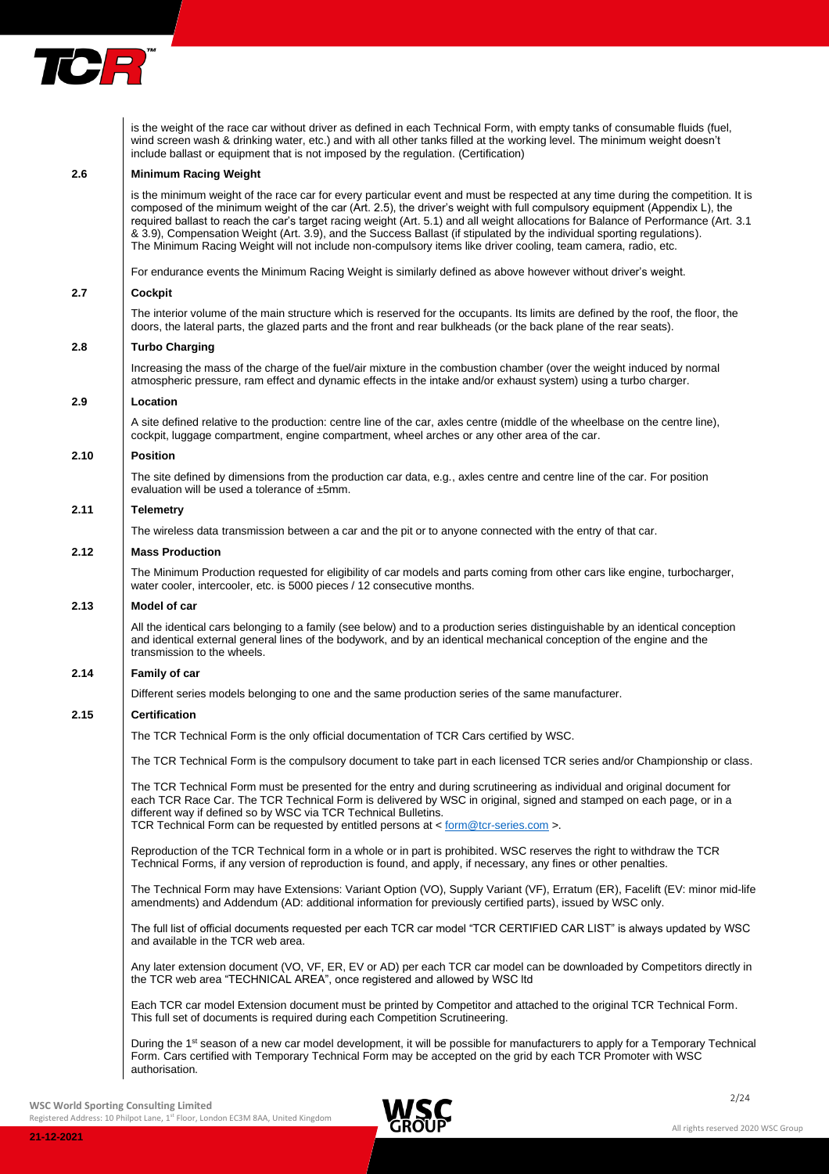

is the weight of the race car without driver as defined in each Technical Form, with empty tanks of consumable fluids (fuel, wind screen wash & drinking water, etc.) and with all other tanks filled at the working level. The minimum weight doesn't include ballast or equipment that is not imposed by the regulation. (Certification)

## **2.6 Minimum Racing Weight**

is the minimum weight of the race car for every particular event and must be respected at any time during the competition. It is composed of the minimum weight of the car (Art. 2.5), the driver's weight with full compulsory equipment (Appendix L), the required ballast to reach the car's target racing weight (Art. 5.1) and all weight allocations for Balance of Performance (Art. 3.1 & 3.9), Compensation Weight (Art. 3.9), and the Success Ballast (if stipulated by the individual sporting regulations). The Minimum Racing Weight will not include non-compulsory items like driver cooling, team camera, radio, etc.

For endurance events the Minimum Racing Weight is similarly defined as above however without driver's weight.

#### **2.7 Cockpit**

The interior volume of the main structure which is reserved for the occupants. Its limits are defined by the roof, the floor, the doors, the lateral parts, the glazed parts and the front and rear bulkheads (or the back plane of the rear seats).

### **2.8 Turbo Charging**

Increasing the mass of the charge of the fuel/air mixture in the combustion chamber (over the weight induced by normal atmospheric pressure, ram effect and dynamic effects in the intake and/or exhaust system) using a turbo charger.

## **2.9 Location**

A site defined relative to the production: centre line of the car, axles centre (middle of the wheelbase on the centre line), cockpit, luggage compartment, engine compartment, wheel arches or any other area of the car.

## **2.10 Position**

The site defined by dimensions from the production car data, e.g., axles centre and centre line of the car. For position evaluation will be used a tolerance of ±5mm.

## **2.11 Telemetry**

The wireless data transmission between a car and the pit or to anyone connected with the entry of that car.

## **2.12 Mass Production**

The Minimum Production requested for eligibility of car models and parts coming from other cars like engine, turbocharger, water cooler, intercooler, etc. is 5000 pieces / 12 consecutive months.

## **2.13 Model of car**

All the identical cars belonging to a family (see below) and to a production series distinguishable by an identical conception and identical external general lines of the bodywork, and by an identical mechanical conception of the engine and the transmission to the wheels.

## **2.14 Family of car**

Different series models belonging to one and the same production series of the same manufacturer.

#### **2.15 Certification**

The TCR Technical Form is the only official documentation of TCR Cars certified by WSC.

The TCR Technical Form is the compulsory document to take part in each licensed TCR series and/or Championship or class.

The TCR Technical Form must be presented for the entry and during scrutineering as individual and original document for each TCR Race Car. The TCR Technical Form is delivered by WSC in original, signed and stamped on each page, or in a different way if defined so by WSC via TCR Technical Bulletins.

TCR Technical Form can be requested by entitled persons at [< form@tcr-series.com](mailto:form@tcr-series.com) >.

Reproduction of the TCR Technical form in a whole or in part is prohibited. WSC reserves the right to withdraw the TCR Technical Forms, if any version of reproduction is found, and apply, if necessary, any fines or other penalties.

The Technical Form may have Extensions: Variant Option (VO), Supply Variant (VF), Erratum (ER), Facelift (EV: minor mid-life amendments) and Addendum (AD: additional information for previously certified parts), issued by WSC only.

The full list of official documents requested per each TCR car model "TCR CERTIFIED CAR LIST" is always updated by WSC and available in the TCR web area.

Any later extension document (VO, VF, ER, EV or AD) per each TCR car model can be downloaded by Competitors directly in the TCR web area "TECHNICAL AREA", once registered and allowed by WSC ltd

Each TCR car model Extension document must be printed by Competitor and attached to the original TCR Technical Form. This full set of documents is required during each Competition Scrutineering.

During the 1<sup>st</sup> season of a new car model development, it will be possible for manufacturers to apply for a Temporary Technical Form. Cars certified with Temporary Technical Form may be accepted on the grid by each TCR Promoter with WSC authorisation.

**21-12-2021**

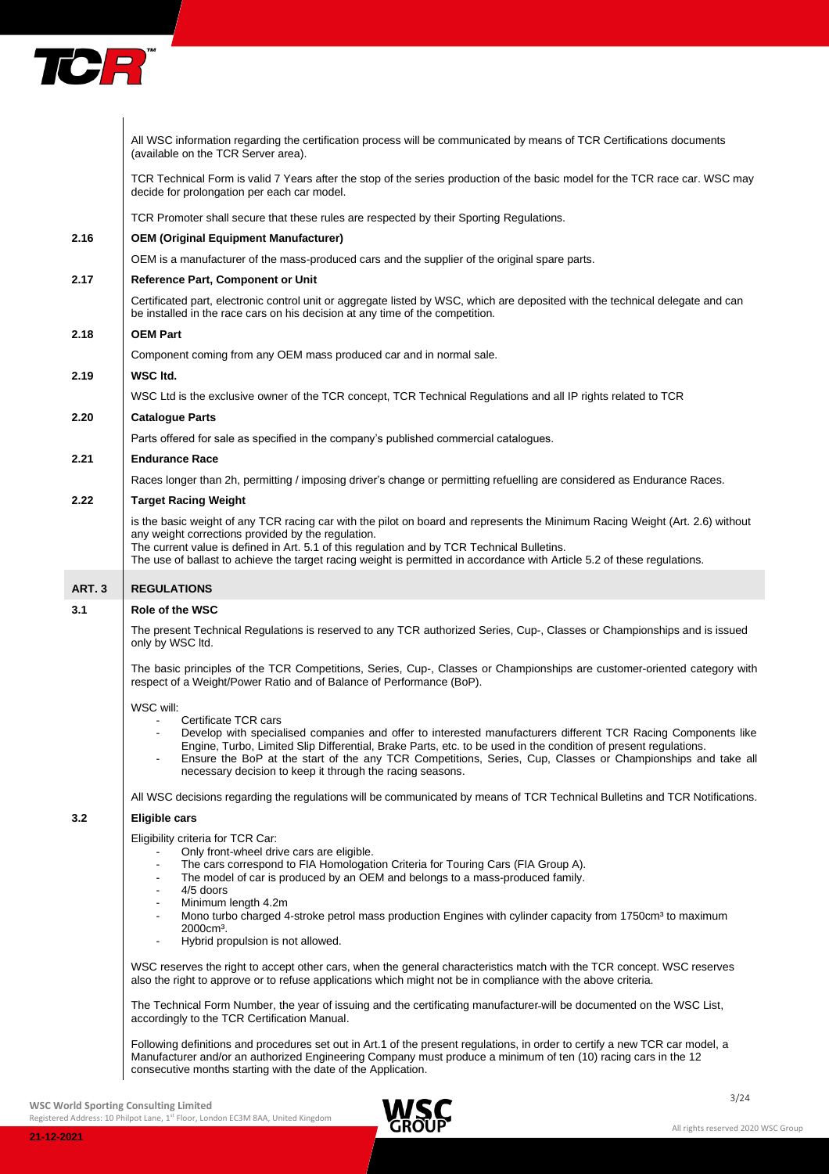

|        | All WSC information regarding the certification process will be communicated by means of TCR Certifications documents<br>(available on the TCR Server area).                                                                                                                                                                                                                                                                                                                                                                                                     |
|--------|------------------------------------------------------------------------------------------------------------------------------------------------------------------------------------------------------------------------------------------------------------------------------------------------------------------------------------------------------------------------------------------------------------------------------------------------------------------------------------------------------------------------------------------------------------------|
|        | TCR Technical Form is valid 7 Years after the stop of the series production of the basic model for the TCR race car. WSC may<br>decide for prolongation per each car model.                                                                                                                                                                                                                                                                                                                                                                                      |
|        | TCR Promoter shall secure that these rules are respected by their Sporting Regulations.                                                                                                                                                                                                                                                                                                                                                                                                                                                                          |
| 2.16   | <b>OEM (Original Equipment Manufacturer)</b>                                                                                                                                                                                                                                                                                                                                                                                                                                                                                                                     |
|        | OEM is a manufacturer of the mass-produced cars and the supplier of the original spare parts.                                                                                                                                                                                                                                                                                                                                                                                                                                                                    |
| 2.17   | <b>Reference Part, Component or Unit</b>                                                                                                                                                                                                                                                                                                                                                                                                                                                                                                                         |
|        | Certificated part, electronic control unit or aggregate listed by WSC, which are deposited with the technical delegate and can<br>be installed in the race cars on his decision at any time of the competition.                                                                                                                                                                                                                                                                                                                                                  |
| 2.18   | <b>OEM Part</b>                                                                                                                                                                                                                                                                                                                                                                                                                                                                                                                                                  |
|        | Component coming from any OEM mass produced car and in normal sale.                                                                                                                                                                                                                                                                                                                                                                                                                                                                                              |
| 2.19   | WSC Itd.                                                                                                                                                                                                                                                                                                                                                                                                                                                                                                                                                         |
|        | WSC Ltd is the exclusive owner of the TCR concept, TCR Technical Regulations and all IP rights related to TCR                                                                                                                                                                                                                                                                                                                                                                                                                                                    |
| 2.20   | <b>Catalogue Parts</b>                                                                                                                                                                                                                                                                                                                                                                                                                                                                                                                                           |
|        | Parts offered for sale as specified in the company's published commercial catalogues.                                                                                                                                                                                                                                                                                                                                                                                                                                                                            |
| 2.21   | <b>Endurance Race</b>                                                                                                                                                                                                                                                                                                                                                                                                                                                                                                                                            |
|        | Races longer than 2h, permitting / imposing driver's change or permitting refuelling are considered as Endurance Races.                                                                                                                                                                                                                                                                                                                                                                                                                                          |
| 2.22   | <b>Target Racing Weight</b>                                                                                                                                                                                                                                                                                                                                                                                                                                                                                                                                      |
|        | is the basic weight of any TCR racing car with the pilot on board and represents the Minimum Racing Weight (Art. 2.6) without<br>any weight corrections provided by the regulation.<br>The current value is defined in Art. 5.1 of this regulation and by TCR Technical Bulletins.<br>The use of ballast to achieve the target racing weight is permitted in accordance with Article 5.2 of these regulations.                                                                                                                                                   |
| ART. 3 | <b>REGULATIONS</b>                                                                                                                                                                                                                                                                                                                                                                                                                                                                                                                                               |
| 3.1    | <b>Role of the WSC</b>                                                                                                                                                                                                                                                                                                                                                                                                                                                                                                                                           |
|        | The present Technical Regulations is reserved to any TCR authorized Series, Cup-, Classes or Championships and is issued<br>only by WSC ltd.                                                                                                                                                                                                                                                                                                                                                                                                                     |
|        | The basic principles of the TCR Competitions, Series, Cup-, Classes or Championships are customer-oriented category with<br>respect of a Weight/Power Ratio and of Balance of Performance (BoP).                                                                                                                                                                                                                                                                                                                                                                 |
|        | WSC will:<br>Certificate TCR cars<br>Develop with specialised companies and offer to interested manufacturers different TCR Racing Components like<br>Engine, Turbo, Limited Slip Differential, Brake Parts, etc. to be used in the condition of present regulations.<br>Ensure the BoP at the start of the any TCR Competitions, Series, Cup, Classes or Championships and take all<br>necessary decision to keep it through the racing seasons.                                                                                                                |
|        | All WSC decisions regarding the regulations will be communicated by means of TCR Technical Bulletins and TCR Notifications.                                                                                                                                                                                                                                                                                                                                                                                                                                      |
| 3.2    | Eligible cars                                                                                                                                                                                                                                                                                                                                                                                                                                                                                                                                                    |
|        | Eligibility criteria for TCR Car:<br>Only front-wheel drive cars are eligible.<br>The cars correspond to FIA Homologation Criteria for Touring Cars (FIA Group A).<br>The model of car is produced by an OEM and belongs to a mass-produced family.<br>$\overline{\phantom{a}}$<br>4/5 doors<br>$\blacksquare$<br>Minimum length 4.2m<br>$\blacksquare$<br>Mono turbo charged 4-stroke petrol mass production Engines with cylinder capacity from 1750cm <sup>3</sup> to maximum<br>$\blacksquare$<br>2000cm <sup>3</sup> .<br>Hybrid propulsion is not allowed. |
|        | WSC reserves the right to accept other cars, when the general characteristics match with the TCR concept. WSC reserves<br>also the right to approve or to refuse applications which might not be in compliance with the above criteria.                                                                                                                                                                                                                                                                                                                          |
|        | The Technical Form Number, the year of issuing and the certificating manufacturer-will be documented on the WSC List,<br>accordingly to the TCR Certification Manual.                                                                                                                                                                                                                                                                                                                                                                                            |
|        | Following definitions and procedures set out in Art.1 of the present regulations, in order to certify a new TCR car model, a<br>Manufacturer and/or an authorized Engineering Company must produce a minimum of ten (10) racing cars in the 12<br>consecutive months starting with the date of the Application.                                                                                                                                                                                                                                                  |

**21-12-2021**

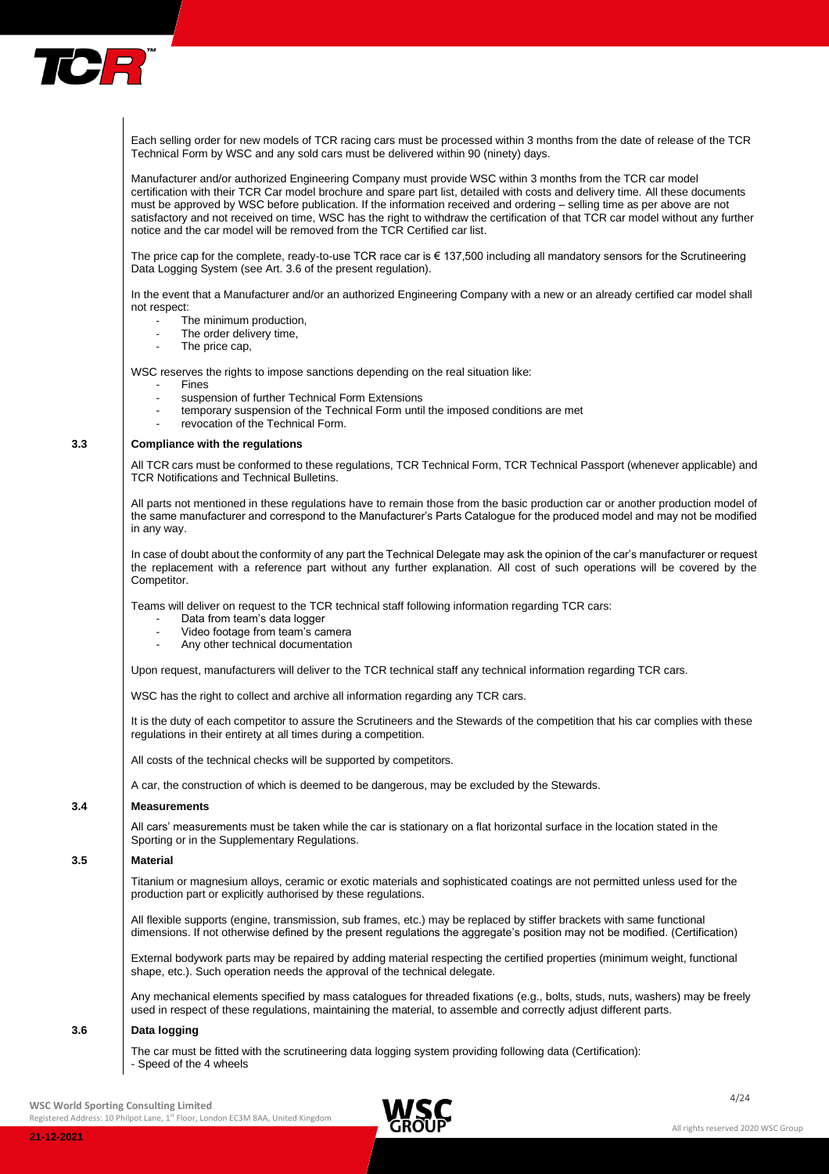

Each selling order for new models of TCR racing cars must be processed within 3 months from the date of release of the TCR Technical Form by WSC and any sold cars must be delivered within 90 (ninety) days.

Manufacturer and/or authorized Engineering Company must provide WSC within 3 months from the TCR car model certification with their TCR Car model brochure and spare part list, detailed with costs and delivery time. All these documents must be approved by WSC before publication. If the information received and ordering – selling time as per above are not satisfactory and not received on time, WSC has the right to withdraw the certification of that TCR car model without any further notice and the car model will be removed from the TCR Certified car list.

The price cap for the complete, ready-to-use TCR race car is € 137,500 including all mandatory sensors for the Scrutineering Data Logging System (see Art. 3.6 of the present regulation).

In the event that a Manufacturer and/or an authorized Engineering Company with a new or an already certified car model shall not respect:

- The minimum production,
- The order delivery time,
- The price cap,

WSC reserves the rights to impose sanctions depending on the real situation like:

- **Fines**
- suspension of further Technical Form Extensions
- temporary suspension of the Technical Form until the imposed conditions are met
- revocation of the Technical Form.

#### **3.3 Compliance with the regulations**

All TCR cars must be conformed to these regulations, TCR Technical Form, TCR Technical Passport (whenever applicable) and TCR Notifications and Technical Bulletins.

All parts not mentioned in these regulations have to remain those from the basic production car or another production model of the same manufacturer and correspond to the Manufacturer's Parts Catalogue for the produced model and may not be modified in any way.

In case of doubt about the conformity of any part the Technical Delegate may ask the opinion of the car's manufacturer or request the replacement with a reference part without any further explanation. All cost of such operations will be covered by the Competitor.

Teams will deliver on request to the TCR technical staff following information regarding TCR cars:

- Data from team's data logger
- Video footage from team's camera
- Any other technical documentation

Upon request, manufacturers will deliver to the TCR technical staff any technical information regarding TCR cars.

WSC has the right to collect and archive all information regarding any TCR cars.

It is the duty of each competitor to assure the Scrutineers and the Stewards of the competition that his car complies with these regulations in their entirety at all times during a competition.

All costs of the technical checks will be supported by competitors.

A car, the construction of which is deemed to be dangerous, may be excluded by the Stewards.

## **3.4 Measurements**

All cars' measurements must be taken while the car is stationary on a flat horizontal surface in the location stated in the Sporting or in the Supplementary Regulations.

## **3.5 Material**

Titanium or magnesium alloys, ceramic or exotic materials and sophisticated coatings are not permitted unless used for the production part or explicitly authorised by these regulations.

All flexible supports (engine, transmission, sub frames, etc.) may be replaced by stiffer brackets with same functional dimensions. If not otherwise defined by the present regulations the aggregate's position may not be modified. (Certification)

External bodywork parts may be repaired by adding material respecting the certified properties (minimum weight, functional shape, etc.). Such operation needs the approval of the technical delegate.

Any mechanical elements specified by mass catalogues for threaded fixations (e.g., bolts, studs, nuts, washers) may be freely used in respect of these regulations, maintaining the material, to assemble and correctly adjust different parts.

## **3.6 Data logging**

The car must be fitted with the scrutineering data logging system providing following data (Certification): - Speed of the 4 wheels

#### $\blacksquare$ **WSC World Sporting Consulting Limited**

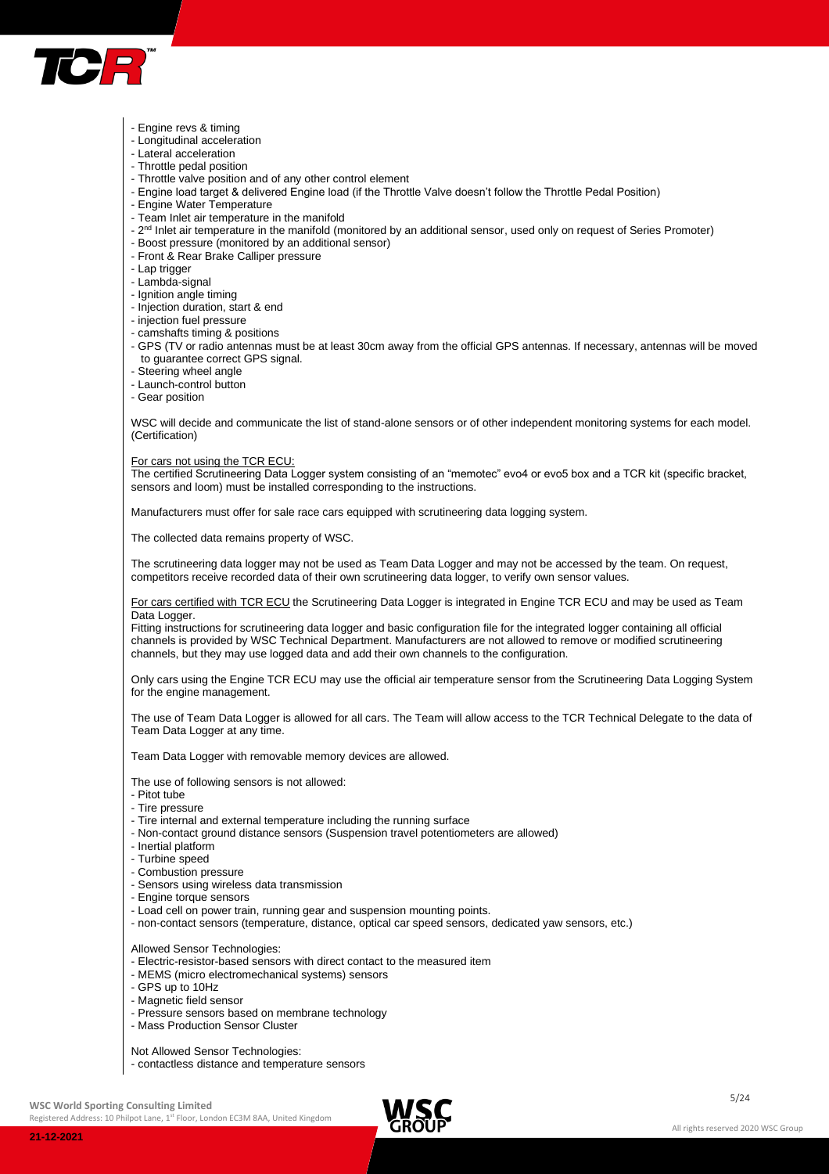

- Engine revs & timing
- Longitudinal acceleration
- Lateral acceleration
- Throttle pedal position
- Throttle valve position and of any other control element
- Engine load target & delivered Engine load (if the Throttle Valve doesn't follow the Throttle Pedal Position)
- Engine Water Temperature
- Team Inlet air temperature in the manifold
- 2<sup>nd</sup> Inlet air temperature in the manifold (monitored by an additional sensor, used only on request of Series Promoter)
- Boost pressure (monitored by an additional sensor)
- Front & Rear Brake Calliper pressure
- Lap trigger
- Lambda-signal
- Ignition angle timing
- Injection duration, start & end
- injection fuel pressure
- camshafts timing & positions
- GPS (TV or radio antennas must be at least 30cm away from the official GPS antennas. If necessary, antennas will be moved to guarantee correct GPS signal.
- Steering wheel angle
- Launch-control button
- Gear position

WSC will decide and communicate the list of stand-alone sensors or of other independent monitoring systems for each model. (Certification)

## For cars not using the TCR ECU:

The certified Scrutineering Data Logger system consisting of an "memotec" evo4 or evo5 box and a TCR kit (specific bracket, sensors and loom) must be installed corresponding to the instructions.

Manufacturers must offer for sale race cars equipped with scrutineering data logging system.

The collected data remains property of WSC.

The scrutineering data logger may not be used as Team Data Logger and may not be accessed by the team. On request, competitors receive recorded data of their own scrutineering data logger, to verify own sensor values.

For cars certified with TCR ECU the Scrutineering Data Logger is integrated in Engine TCR ECU and may be used as Team Data Logger.

Fitting instructions for scrutineering data logger and basic configuration file for the integrated logger containing all official channels is provided by WSC Technical Department. Manufacturers are not allowed to remove or modified scrutineering channels, but they may use logged data and add their own channels to the configuration.

Only cars using the Engine TCR ECU may use the official air temperature sensor from the Scrutineering Data Logging System for the engine management.

The use of Team Data Logger is allowed for all cars. The Team will allow access to the TCR Technical Delegate to the data of Team Data Logger at any time.

Team Data Logger with removable memory devices are allowed.

- The use of following sensors is not allowed:
- Pitot tube
- Tire pressure
- Tire internal and external temperature including the running surface
- Non-contact ground distance sensors (Suspension travel potentiometers are allowed)
- Inertial platform
- Turbine speed
- Combustion pressure
- Sensors using wireless data transmission
- Engine torque sensors
- Load cell on power train, running gear and suspension mounting points.
- non-contact sensors (temperature, distance, optical car speed sensors, dedicated yaw sensors, etc.)

Allowed Sensor Technologies:

- Electric-resistor-based sensors with direct contact to the measured item
- MEMS (micro electromechanical systems) sensors
- GPS up to 10Hz
- Magnetic field sensor
- Pressure sensors based on membrane technology
- Mass Production Sensor Cluster
- Not Allowed Sensor Technologies:
- contactless distance and temperature sensors

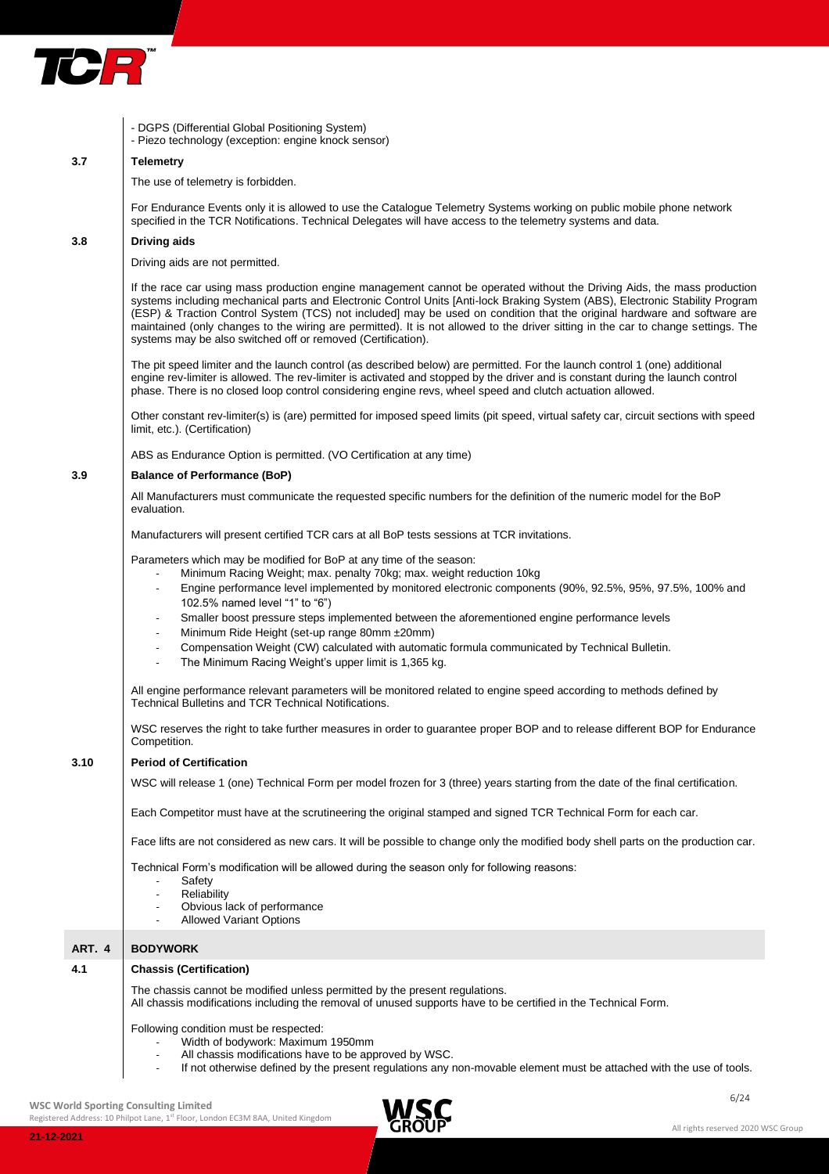

|        | - DGPS (Differential Global Positioning System)<br>- Piezo technology (exception: engine knock sensor)                                                                                                                                                                                                                                                                                                                                                                                                                                                                                                                                                         |
|--------|----------------------------------------------------------------------------------------------------------------------------------------------------------------------------------------------------------------------------------------------------------------------------------------------------------------------------------------------------------------------------------------------------------------------------------------------------------------------------------------------------------------------------------------------------------------------------------------------------------------------------------------------------------------|
| 3.7    | <b>Telemetry</b>                                                                                                                                                                                                                                                                                                                                                                                                                                                                                                                                                                                                                                               |
|        | The use of telemetry is forbidden.                                                                                                                                                                                                                                                                                                                                                                                                                                                                                                                                                                                                                             |
|        | For Endurance Events only it is allowed to use the Catalogue Telemetry Systems working on public mobile phone network<br>specified in the TCR Notifications. Technical Delegates will have access to the telemetry systems and data.                                                                                                                                                                                                                                                                                                                                                                                                                           |
| 3.8    | Driving aids                                                                                                                                                                                                                                                                                                                                                                                                                                                                                                                                                                                                                                                   |
|        | Driving aids are not permitted.                                                                                                                                                                                                                                                                                                                                                                                                                                                                                                                                                                                                                                |
|        | If the race car using mass production engine management cannot be operated without the Driving Aids, the mass production<br>systems including mechanical parts and Electronic Control Units [Anti-lock Braking System (ABS), Electronic Stability Program<br>(ESP) & Traction Control System (TCS) not included] may be used on condition that the original hardware and software are<br>maintained (only changes to the wiring are permitted). It is not allowed to the driver sitting in the car to change settings. The<br>systems may be also switched off or removed (Certification).                                                                     |
|        | The pit speed limiter and the launch control (as described below) are permitted. For the launch control 1 (one) additional<br>engine rev-limiter is allowed. The rev-limiter is activated and stopped by the driver and is constant during the launch control<br>phase. There is no closed loop control considering engine revs, wheel speed and clutch actuation allowed.                                                                                                                                                                                                                                                                                     |
|        | Other constant rev-limiter(s) is (are) permitted for imposed speed limits (pit speed, virtual safety car, circuit sections with speed<br>limit, etc.). (Certification)                                                                                                                                                                                                                                                                                                                                                                                                                                                                                         |
|        | ABS as Endurance Option is permitted. (VO Certification at any time)                                                                                                                                                                                                                                                                                                                                                                                                                                                                                                                                                                                           |
| 3.9    | <b>Balance of Performance (BoP)</b>                                                                                                                                                                                                                                                                                                                                                                                                                                                                                                                                                                                                                            |
|        | All Manufacturers must communicate the requested specific numbers for the definition of the numeric model for the BoP<br>evaluation.                                                                                                                                                                                                                                                                                                                                                                                                                                                                                                                           |
|        | Manufacturers will present certified TCR cars at all BoP tests sessions at TCR invitations.                                                                                                                                                                                                                                                                                                                                                                                                                                                                                                                                                                    |
|        | Parameters which may be modified for BoP at any time of the season:<br>Minimum Racing Weight; max. penalty 70kg; max. weight reduction 10kg<br>Engine performance level implemented by monitored electronic components (90%, 92.5%, 95%, 97.5%, 100% and<br>102.5% named level "1" to "6")<br>Smaller boost pressure steps implemented between the aforementioned engine performance levels<br>Minimum Ride Height (set-up range 80mm ±20mm)<br>Compensation Weight (CW) calculated with automatic formula communicated by Technical Bulletin.<br>$\overline{\phantom{a}}$<br>The Minimum Racing Weight's upper limit is 1,365 kg.<br>$\overline{\phantom{a}}$ |
|        | All engine performance relevant parameters will be monitored related to engine speed according to methods defined by<br>Technical Bulletins and TCR Technical Notifications.                                                                                                                                                                                                                                                                                                                                                                                                                                                                                   |
|        | WSC reserves the right to take further measures in order to guarantee proper BOP and to release different BOP for Endurance<br>Competition.                                                                                                                                                                                                                                                                                                                                                                                                                                                                                                                    |
| 3.10   | <b>Period of Certification</b>                                                                                                                                                                                                                                                                                                                                                                                                                                                                                                                                                                                                                                 |
|        | WSC will release 1 (one) Technical Form per model frozen for 3 (three) years starting from the date of the final certification.                                                                                                                                                                                                                                                                                                                                                                                                                                                                                                                                |
|        | Each Competitor must have at the scrutineering the original stamped and signed TCR Technical Form for each car.                                                                                                                                                                                                                                                                                                                                                                                                                                                                                                                                                |
|        | Face lifts are not considered as new cars. It will be possible to change only the modified body shell parts on the production car.                                                                                                                                                                                                                                                                                                                                                                                                                                                                                                                             |
|        | Technical Form's modification will be allowed during the season only for following reasons:<br>Safety<br>Reliability<br>$\overline{\phantom{a}}$<br>Obvious lack of performance<br><b>Allowed Variant Options</b>                                                                                                                                                                                                                                                                                                                                                                                                                                              |
| ART. 4 | <b>BODYWORK</b>                                                                                                                                                                                                                                                                                                                                                                                                                                                                                                                                                                                                                                                |
| 4.1    | <b>Chassis (Certification)</b>                                                                                                                                                                                                                                                                                                                                                                                                                                                                                                                                                                                                                                 |
|        | The chassis cannot be modified unless permitted by the present regulations.<br>All chassis modifications including the removal of unused supports have to be certified in the Technical Form.                                                                                                                                                                                                                                                                                                                                                                                                                                                                  |
|        | Following condition must be respected:<br>Width of bodywork: Maximum 1950mm<br>All chassis modifications have to be approved by WSC.<br>If not otherwise defined by the present regulations any non-movable element must be attached with the use of tools.                                                                                                                                                                                                                                                                                                                                                                                                    |

WSC World Sporting Consulting Limited **ALC** 

Registered Address: 10 Philpot Lane, 1<sup>st</sup> Floor, London EC3M 8AA, United Kingdom



All rights reserved 2020 WSC Group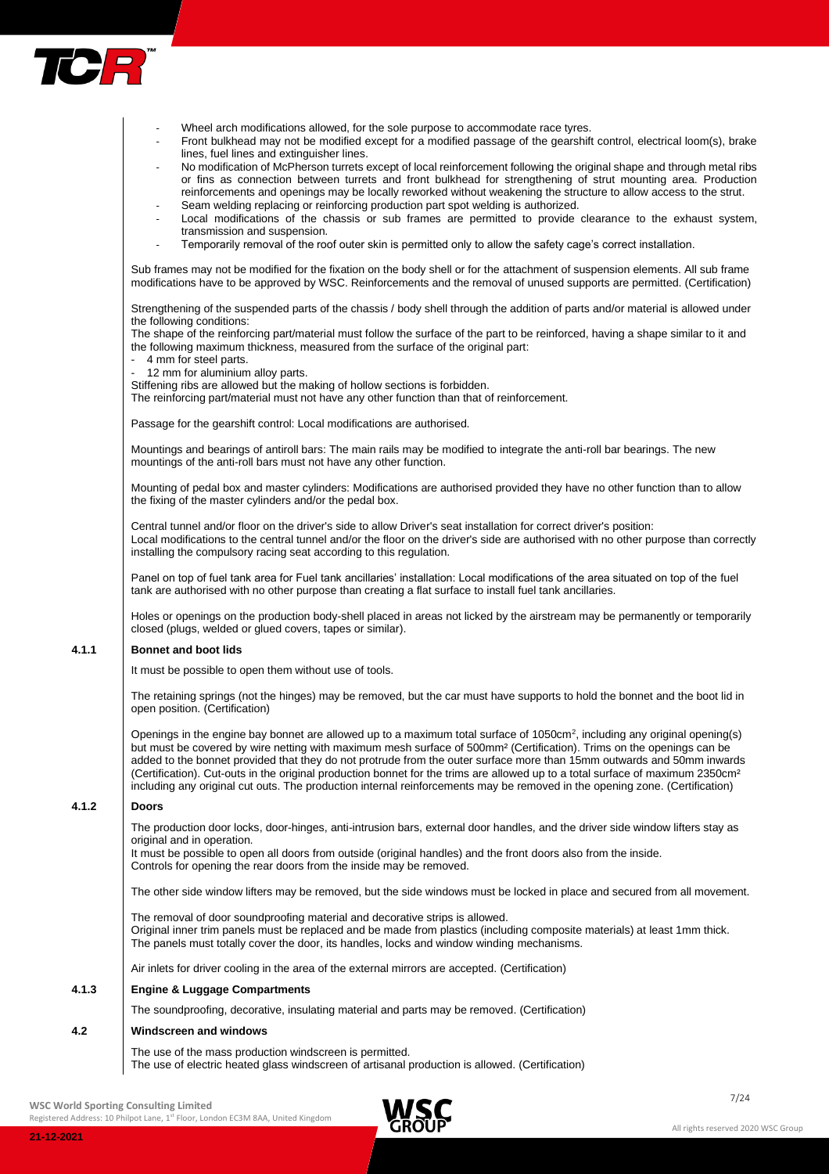

- Wheel arch modifications allowed, for the sole purpose to accommodate race tyres.
	- Front bulkhead may not be modified except for a modified passage of the gearshift control, electrical loom(s), brake lines, fuel lines and extinguisher lines.
- No modification of McPherson turrets except of local reinforcement following the original shape and through metal ribs or fins as connection between turrets and front bulkhead for strengthening of strut mounting area. Production reinforcements and openings may be locally reworked without weakening the structure to allow access to the strut.
- Seam welding replacing or reinforcing production part spot welding is authorized.
- Local modifications of the chassis or sub frames are permitted to provide clearance to the exhaust system, transmission and suspension.
	- Temporarily removal of the roof outer skin is permitted only to allow the safety cage's correct installation.

Sub frames may not be modified for the fixation on the body shell or for the attachment of suspension elements. All sub frame modifications have to be approved by WSC. Reinforcements and the removal of unused supports are permitted. (Certification)

Strengthening of the suspended parts of the chassis / body shell through the addition of parts and/or material is allowed under the following conditions:

The shape of the reinforcing part/material must follow the surface of the part to be reinforced, having a shape similar to it and the following maximum thickness, measured from the surface of the original part:

- 4 mm for steel parts.
- 12 mm for aluminium alloy parts.
- Stiffening ribs are allowed but the making of hollow sections is forbidden.

The reinforcing part/material must not have any other function than that of reinforcement.

Passage for the gearshift control: Local modifications are authorised.

Mountings and bearings of antiroll bars: The main rails may be modified to integrate the anti-roll bar bearings. The new mountings of the anti-roll bars must not have any other function.

Mounting of pedal box and master cylinders: Modifications are authorised provided they have no other function than to allow the fixing of the master cylinders and/or the pedal box.

Central tunnel and/or floor on the driver's side to allow Driver's seat installation for correct driver's position: Local modifications to the central tunnel and/or the floor on the driver's side are authorised with no other purpose than correctly installing the compulsory racing seat according to this regulation.

Panel on top of fuel tank area for Fuel tank ancillaries' installation: Local modifications of the area situated on top of the fuel tank are authorised with no other purpose than creating a flat surface to install fuel tank ancillaries.

Holes or openings on the production body-shell placed in areas not licked by the airstream may be permanently or temporarily closed (plugs, welded or glued covers, tapes or similar).

## **4.1.1 Bonnet and boot lids**

It must be possible to open them without use of tools.

The retaining springs (not the hinges) may be removed, but the car must have supports to hold the bonnet and the boot lid in open position. (Certification)

Openings in the engine bay bonnet are allowed up to a maximum total surface of 1050cm<sup>2</sup>, including any original opening(s) but must be covered by wire netting with maximum mesh surface of 500mm² (Certification). Trims on the openings can be added to the bonnet provided that they do not protrude from the outer surface more than 15mm outwards and 50mm inwards (Certification). Cut-outs in the original production bonnet for the trims are allowed up to a total surface of maximum 2350cm² including any original cut outs. The production internal reinforcements may be removed in the opening zone. (Certification)

## **4.1.2 Doors**

The production door locks, door-hinges, anti-intrusion bars, external door handles, and the driver side window lifters stay as original and in operation.

It must be possible to open all doors from outside (original handles) and the front doors also from the inside. Controls for opening the rear doors from the inside may be removed.

The other side window lifters may be removed, but the side windows must be locked in place and secured from all movement.

The removal of door soundproofing material and decorative strips is allowed. Original inner trim panels must be replaced and be made from plastics (including composite materials) at least 1mm thick. The panels must totally cover the door, its handles, locks and window winding mechanisms.

Air inlets for driver cooling in the area of the external mirrors are accepted. (Certification)

## **4.1.3 Engine & Luggage Compartments**

The soundproofing, decorative, insulating material and parts may be removed. (Certification)

## **4.2 Windscreen and windows**

The use of the mass production windscreen is permitted. The use of electric heated glass windscreen of artisanal production is allowed. (Certification)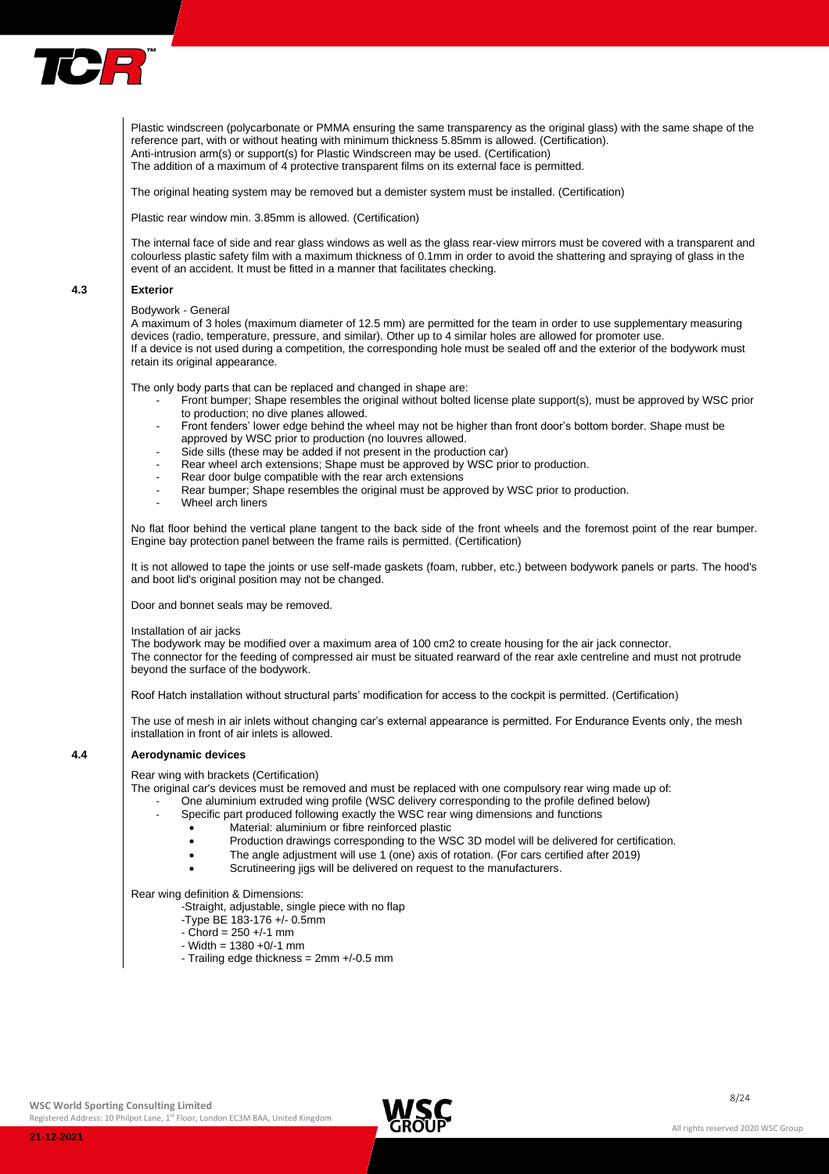

Plastic windscreen (polycarbonate or PMMA ensuring the same transparency as the original glass) with the same shape of the reference part, with or without heating with minimum thickness 5.85mm is allowed. (Certification). Anti-intrusion arm(s) or support(s) for Plastic Windscreen may be used. (Certification) The addition of a maximum of 4 protective transparent films on its external face is permitted.

The original heating system may be removed but a demister system must be installed. (Certification)

Plastic rear window min. 3.85mm is allowed. (Certification)

The internal face of side and rear glass windows as well as the glass rear-view mirrors must be covered with a transparent and colourless plastic safety film with a maximum thickness of 0.1mm in order to avoid the shattering and spraying of glass in the event of an accident. It must be fitted in a manner that facilitates checking.

#### **4.3 Exterior**

#### Bodywork - General

A maximum of 3 holes (maximum diameter of 12.5 mm) are permitted for the team in order to use supplementary measuring devices (radio, temperature, pressure, and similar). Other up to 4 similar holes are allowed for promoter use. If a device is not used during a competition, the corresponding hole must be sealed off and the exterior of the bodywork must retain its original appearance.

The only body parts that can be replaced and changed in shape are:

- Front bumper; Shape resembles the original without bolted license plate support(s), must be approved by WSC prior to production; no dive planes allowed.
- Front fenders' lower edge behind the wheel may not be higher than front door's bottom border. Shape must be approved by WSC prior to production (no louvres allowed.
- Side sills (these may be added if not present in the production car)
- Rear wheel arch extensions; Shape must be approved by WSC prior to production.
- Rear door bulge compatible with the rear arch extensions
- Rear bumper; Shape resembles the original must be approved by WSC prior to production.
- Wheel arch liners

No flat floor behind the vertical plane tangent to the back side of the front wheels and the foremost point of the rear bumper. Engine bay protection panel between the frame rails is permitted. (Certification)

It is not allowed to tape the joints or use self-made gaskets (foam, rubber, etc.) between bodywork panels or parts. The hood's and boot lid's original position may not be changed.

Door and bonnet seals may be removed.

Installation of air jacks

The bodywork may be modified over a maximum area of 100 cm2 to create housing for the air jack connector. The connector for the feeding of compressed air must be situated rearward of the rear axle centreline and must not protrude beyond the surface of the bodywork.

Roof Hatch installation without structural parts' modification for access to the cockpit is permitted. (Certification)

The use of mesh in air inlets without changing car's external appearance is permitted. For Endurance Events only, the mesh installation in front of air inlets is allowed.

## **4.4 Aerodynamic devices**

Rear wing with brackets (Certification)

The original car's devices must be removed and must be replaced with one compulsory rear wing made up of: - One aluminium extruded wing profile (WSC delivery corresponding to the profile defined below)

- Specific part produced following exactly the WSC rear wing dimensions and functions
	- Material: aluminium or fibre reinforced plastic
		- Production drawings corresponding to the WSC 3D model will be delivered for certification.
	- The angle adjustment will use 1 (one) axis of rotation. (For cars certified after 2019)
	- Scrutineering jigs will be delivered on request to the manufacturers.

Rear wing definition & Dimensions:

- -Straight, adjustable, single piece with no flap
- -Type BE 183-176 +/- 0.5mm
- $-$  Chord = 250  $+/-1$  mm
- $-$  Width = 1380  $+0/-1$  mm
- Trailing edge thickness = 2mm +/-0.5 mm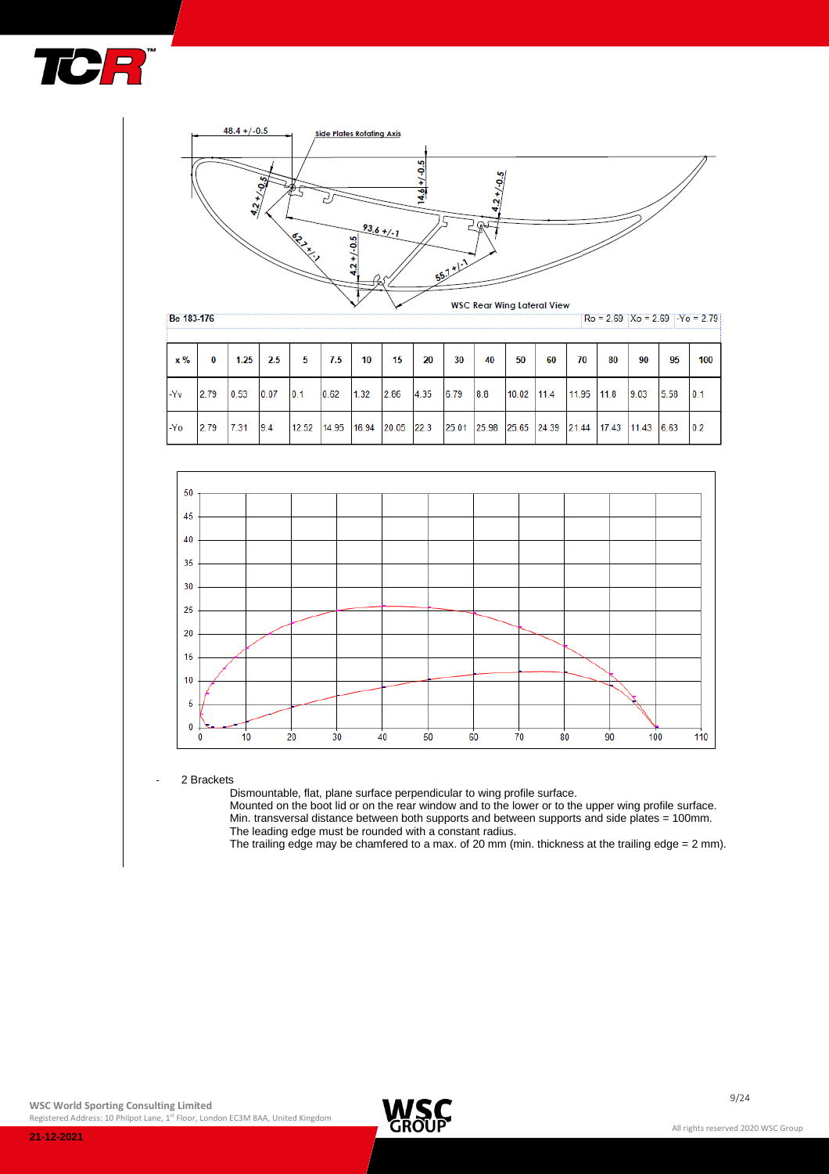



| $\times \%$ | 0    | 1.25 | 2.5  | 5     | 7.5                      | 10   | 15   | 20   | 30          | 40  | 50    | 60                | 70    | 80          | 90   | 95    | 100 |
|-------------|------|------|------|-------|--------------------------|------|------|------|-------------|-----|-------|-------------------|-------|-------------|------|-------|-----|
| -Yv         | 2.79 | 0.53 | 0.07 | 0.1   | 0.62                     | 1.32 | 2.86 | 4.35 | 6.79        | 8.8 | 10.02 | 11.4              | 11.95 | 11.8        | 9.03 | 5.58  | 0.1 |
| -Yo         | 2.79 | 7.31 | 9.4  | 12.52 | $14.95$ 16.94 20.05 22.3 |      |      |      | 25.01 25.98 |     |       | 25.65 24.39 21.44 |       | 17.43 11.43 |      | 16.63 | 0.2 |



2 Brackets

Dismountable, flat, plane surface perpendicular to wing profile surface.

Mounted on the boot lid or on the rear window and to the lower or to the upper wing profile surface. Min. transversal distance between both supports and between supports and side plates = 100mm. The leading edge must be rounded with a constant radius.

The trailing edge may be chamfered to a max. of 20 mm (min. thickness at the trailing edge = 2 mm).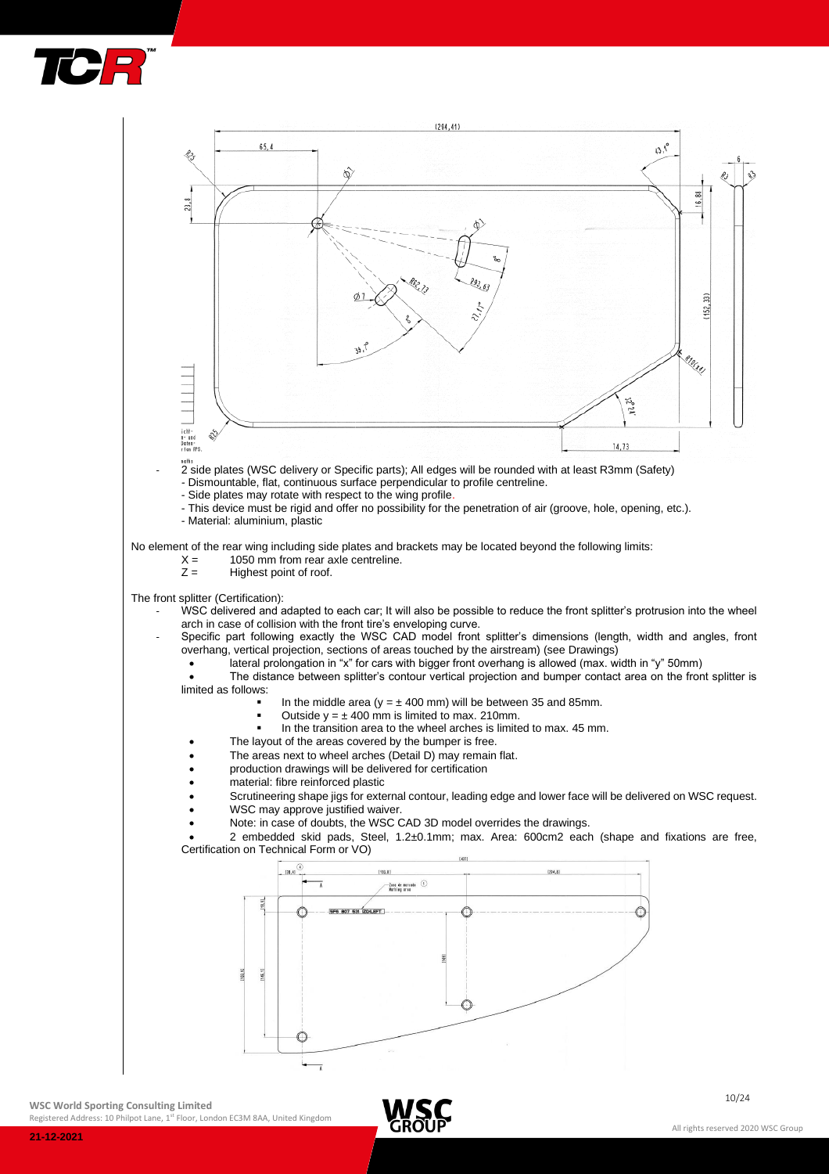



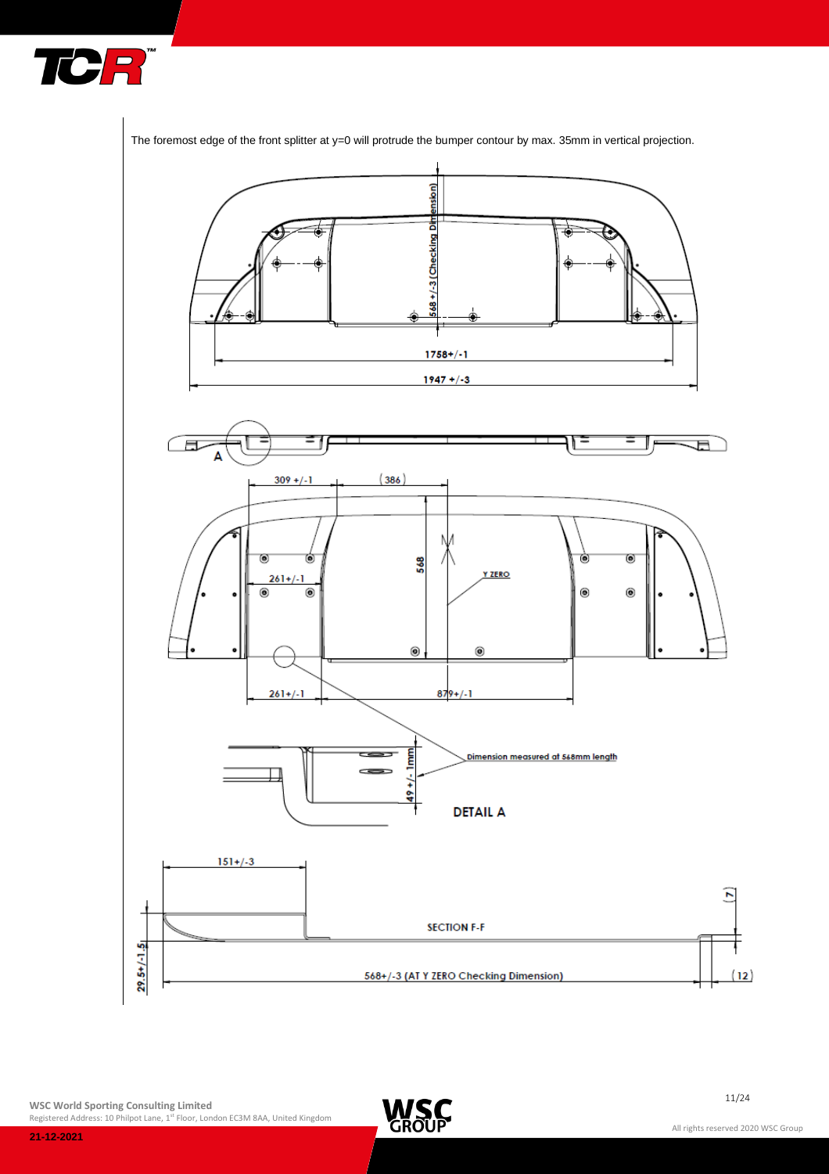



The foremost edge of the front splitter at y=0 will protrude the bumper contour by max. 35mm in vertical projection.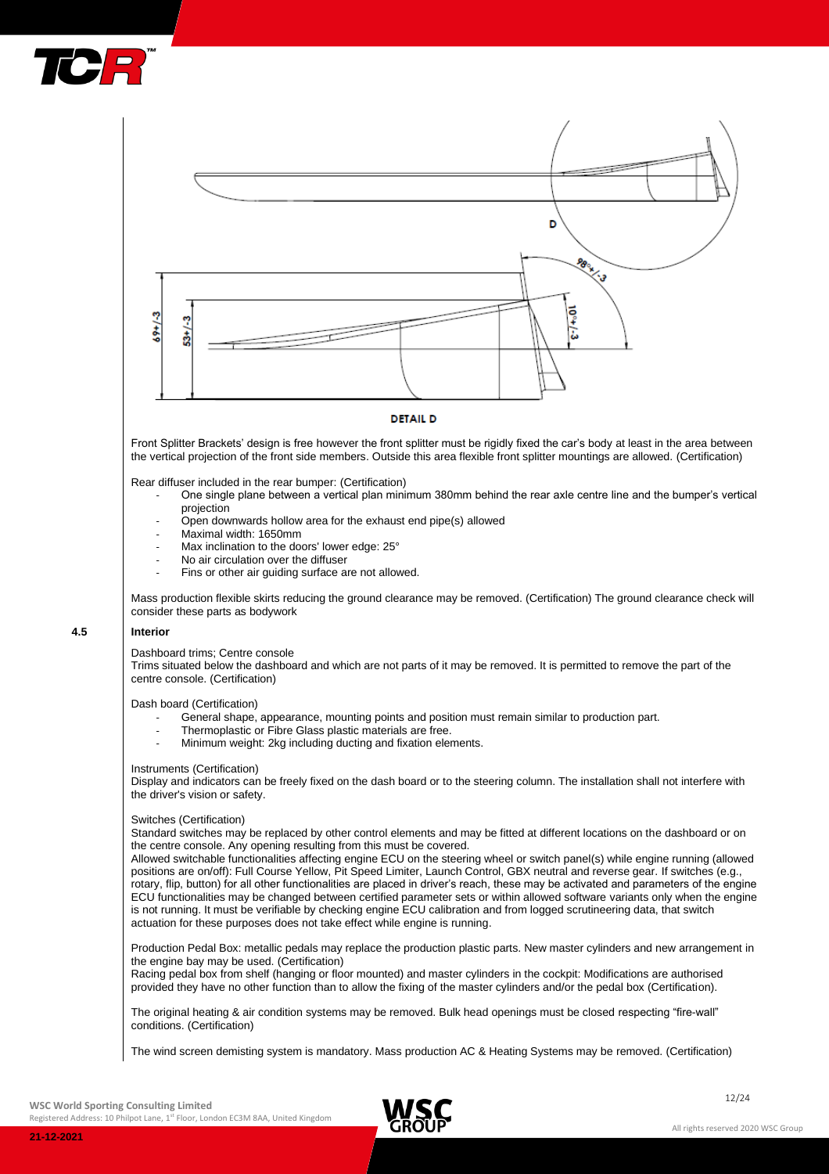



## **DETAIL D**

Front Splitter Brackets' design is free however the front splitter must be rigidly fixed the car's body at least in the area between the vertical projection of the front side members. Outside this area flexible front splitter mountings are allowed. (Certification)

Rear diffuser included in the rear bumper: (Certification)

- One single plane between a vertical plan minimum 380mm behind the rear axle centre line and the bumper's vertical projection
- Open downwards hollow area for the exhaust end pipe(s) allowed
- Maximal width: 1650mm
- Max inclination to the doors' lower edge: 25°
- No air circulation over the diffuser
- Fins or other air guiding surface are not allowed.

Mass production flexible skirts reducing the ground clearance may be removed. (Certification) The ground clearance check will consider these parts as bodywork

## **4.5 Interior**

Dashboard trims; Centre console

Trims situated below the dashboard and which are not parts of it may be removed. It is permitted to remove the part of the centre console. (Certification)

Dash board (Certification)

- General shape, appearance, mounting points and position must remain similar to production part.
- Thermoplastic or Fibre Glass plastic materials are free.
- Minimum weight: 2kg including ducting and fixation elements.

#### Instruments (Certification)

Display and indicators can be freely fixed on the dash board or to the steering column. The installation shall not interfere with the driver's vision or safety.

#### Switches (Certification)

Standard switches may be replaced by other control elements and may be fitted at different locations on the dashboard or on the centre console. Any opening resulting from this must be covered.

Allowed switchable functionalities affecting engine ECU on the steering wheel or switch panel(s) while engine running (allowed positions are on/off): Full Course Yellow, Pit Speed Limiter, Launch Control, GBX neutral and reverse gear. If switches (e.g., rotary, flip, button) for all other functionalities are placed in driver's reach, these may be activated and parameters of the engine ECU functionalities may be changed between certified parameter sets or within allowed software variants only when the engine is not running. It must be verifiable by checking engine ECU calibration and from logged scrutineering data, that switch actuation for these purposes does not take effect while engine is running.

Production Pedal Box: metallic pedals may replace the production plastic parts. New master cylinders and new arrangement in the engine bay may be used. (Certification)

Racing pedal box from shelf (hanging or floor mounted) and master cylinders in the cockpit: Modifications are authorised provided they have no other function than to allow the fixing of the master cylinders and/or the pedal box (Certification).

The original heating & air condition systems may be removed. Bulk head openings must be closed respecting "fire-wall" conditions. (Certification)

The wind screen demisting system is mandatory. Mass production AC & Heating Systems may be removed. (Certification)



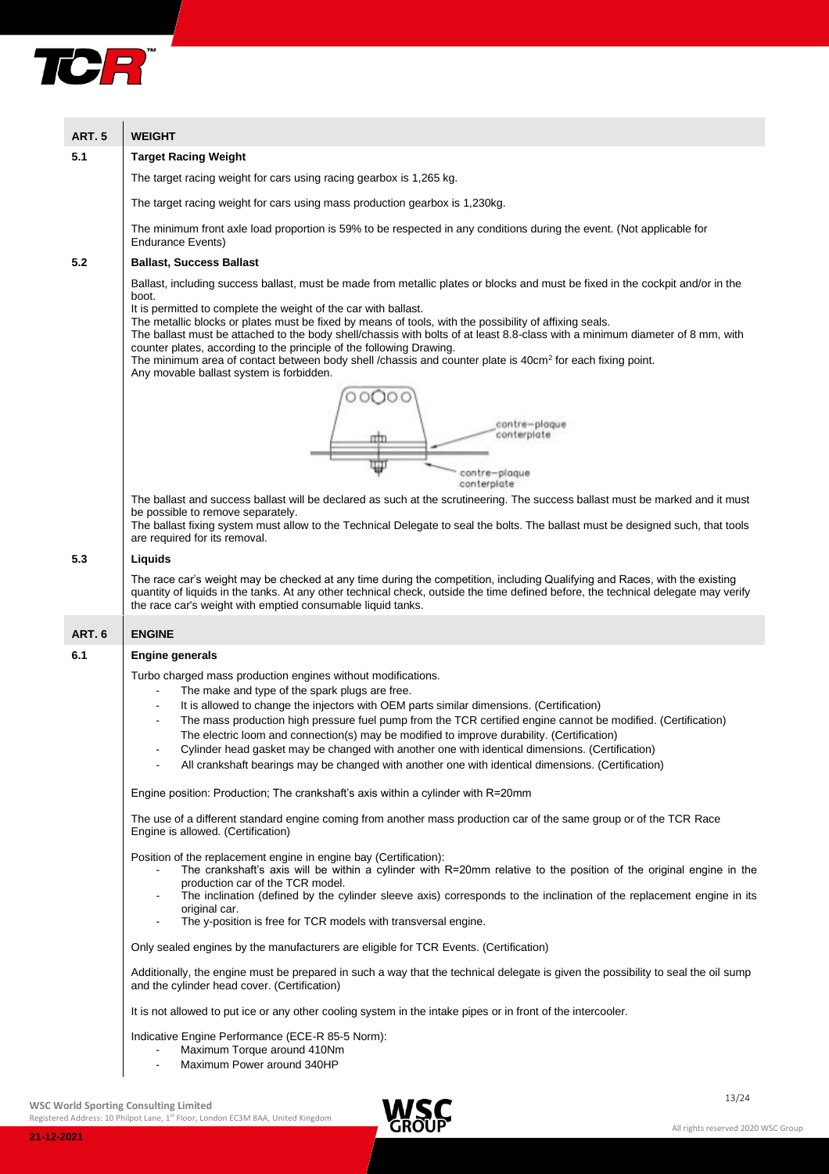

| <b>ART. 5</b>                                                               | <b>WEIGHT</b>                                                                                                                                                                                                                                                                                                                                                                                                                                                                                                                                                                                                                                                                                      |  |  |  |  |  |  |
|-----------------------------------------------------------------------------|----------------------------------------------------------------------------------------------------------------------------------------------------------------------------------------------------------------------------------------------------------------------------------------------------------------------------------------------------------------------------------------------------------------------------------------------------------------------------------------------------------------------------------------------------------------------------------------------------------------------------------------------------------------------------------------------------|--|--|--|--|--|--|
| 5.1                                                                         | <b>Target Racing Weight</b>                                                                                                                                                                                                                                                                                                                                                                                                                                                                                                                                                                                                                                                                        |  |  |  |  |  |  |
|                                                                             | The target racing weight for cars using racing gearbox is 1,265 kg.                                                                                                                                                                                                                                                                                                                                                                                                                                                                                                                                                                                                                                |  |  |  |  |  |  |
| The target racing weight for cars using mass production gearbox is 1,230kg. |                                                                                                                                                                                                                                                                                                                                                                                                                                                                                                                                                                                                                                                                                                    |  |  |  |  |  |  |
|                                                                             | The minimum front axle load proportion is 59% to be respected in any conditions during the event. (Not applicable for<br><b>Endurance Events)</b>                                                                                                                                                                                                                                                                                                                                                                                                                                                                                                                                                  |  |  |  |  |  |  |
| 5.2                                                                         | <b>Ballast, Success Ballast</b>                                                                                                                                                                                                                                                                                                                                                                                                                                                                                                                                                                                                                                                                    |  |  |  |  |  |  |
|                                                                             | Ballast, including success ballast, must be made from metallic plates or blocks and must be fixed in the cockpit and/or in the<br>boot.<br>It is permitted to complete the weight of the car with ballast.<br>The metallic blocks or plates must be fixed by means of tools, with the possibility of affixing seals.<br>The ballast must be attached to the body shell/chassis with bolts of at least 8.8-class with a minimum diameter of 8 mm, with<br>counter plates, according to the principle of the following Drawing.<br>The minimum area of contact between body shell /chassis and counter plate is 40cm <sup>2</sup> for each fixing point.<br>Any movable ballast system is forbidden. |  |  |  |  |  |  |
|                                                                             | contre-plaque<br>conterplate                                                                                                                                                                                                                                                                                                                                                                                                                                                                                                                                                                                                                                                                       |  |  |  |  |  |  |
|                                                                             | Ψ<br>contre-plaque<br>conterplate                                                                                                                                                                                                                                                                                                                                                                                                                                                                                                                                                                                                                                                                  |  |  |  |  |  |  |
|                                                                             | The ballast and success ballast will be declared as such at the scrutineering. The success ballast must be marked and it must<br>be possible to remove separately.<br>The ballast fixing system must allow to the Technical Delegate to seal the bolts. The ballast must be designed such, that tools<br>are required for its removal.                                                                                                                                                                                                                                                                                                                                                             |  |  |  |  |  |  |
| 5.3                                                                         | Liquids                                                                                                                                                                                                                                                                                                                                                                                                                                                                                                                                                                                                                                                                                            |  |  |  |  |  |  |
|                                                                             | The race car's weight may be checked at any time during the competition, including Qualifying and Races, with the existing<br>quantity of liquids in the tanks. At any other technical check, outside the time defined before, the technical delegate may verify<br>the race car's weight with emptied consumable liquid tanks.                                                                                                                                                                                                                                                                                                                                                                    |  |  |  |  |  |  |
| <b>ART. 6</b>                                                               | <b>ENGINE</b>                                                                                                                                                                                                                                                                                                                                                                                                                                                                                                                                                                                                                                                                                      |  |  |  |  |  |  |
| 6.1                                                                         | <b>Engine generals</b>                                                                                                                                                                                                                                                                                                                                                                                                                                                                                                                                                                                                                                                                             |  |  |  |  |  |  |
|                                                                             | Turbo charged mass production engines without modifications.<br>The make and type of the spark plugs are free.<br>It is allowed to change the injectors with OEM parts similar dimensions. (Certification)<br>The mass production high pressure fuel pump from the TCR certified engine cannot be modified. (Certification)<br>The electric loom and connection(s) may be modified to improve durability. (Certification)<br>Cylinder head gasket may be changed with another one with identical dimensions. (Certification)<br>$\blacksquare$<br>All crankshaft bearings may be changed with another one with identical dimensions. (Certification)                                               |  |  |  |  |  |  |
|                                                                             | Engine position: Production; The crankshaft's axis within a cylinder with R=20mm                                                                                                                                                                                                                                                                                                                                                                                                                                                                                                                                                                                                                   |  |  |  |  |  |  |
|                                                                             | The use of a different standard engine coming from another mass production car of the same group or of the TCR Race<br>Engine is allowed. (Certification)                                                                                                                                                                                                                                                                                                                                                                                                                                                                                                                                          |  |  |  |  |  |  |
|                                                                             | Position of the replacement engine in engine bay (Certification):<br>The crankshaft's axis will be within a cylinder with R=20mm relative to the position of the original engine in the<br>production car of the TCR model.<br>The inclination (defined by the cylinder sleeve axis) corresponds to the inclination of the replacement engine in its<br>original car.<br>The y-position is free for TCR models with transversal engine.<br>$\blacksquare$                                                                                                                                                                                                                                          |  |  |  |  |  |  |
|                                                                             | Only sealed engines by the manufacturers are eligible for TCR Events. (Certification)                                                                                                                                                                                                                                                                                                                                                                                                                                                                                                                                                                                                              |  |  |  |  |  |  |
|                                                                             | Additionally, the engine must be prepared in such a way that the technical delegate is given the possibility to seal the oil sump<br>and the cylinder head cover. (Certification)                                                                                                                                                                                                                                                                                                                                                                                                                                                                                                                  |  |  |  |  |  |  |
|                                                                             | It is not allowed to put ice or any other cooling system in the intake pipes or in front of the intercooler.                                                                                                                                                                                                                                                                                                                                                                                                                                                                                                                                                                                       |  |  |  |  |  |  |
|                                                                             | Indicative Engine Performance (ECE-R 85-5 Norm):<br>Maximum Torque around 410Nm<br>Maximum Power around 340HP<br>$\sim$                                                                                                                                                                                                                                                                                                                                                                                                                                                                                                                                                                            |  |  |  |  |  |  |

WSC World Sporting Consulting Limited and Consulting Limited and Consulting Limited and Consulting Limited and Consulting Limited and Consulting Limited and Consulting Limited and Consulting Limited and Consulting Limited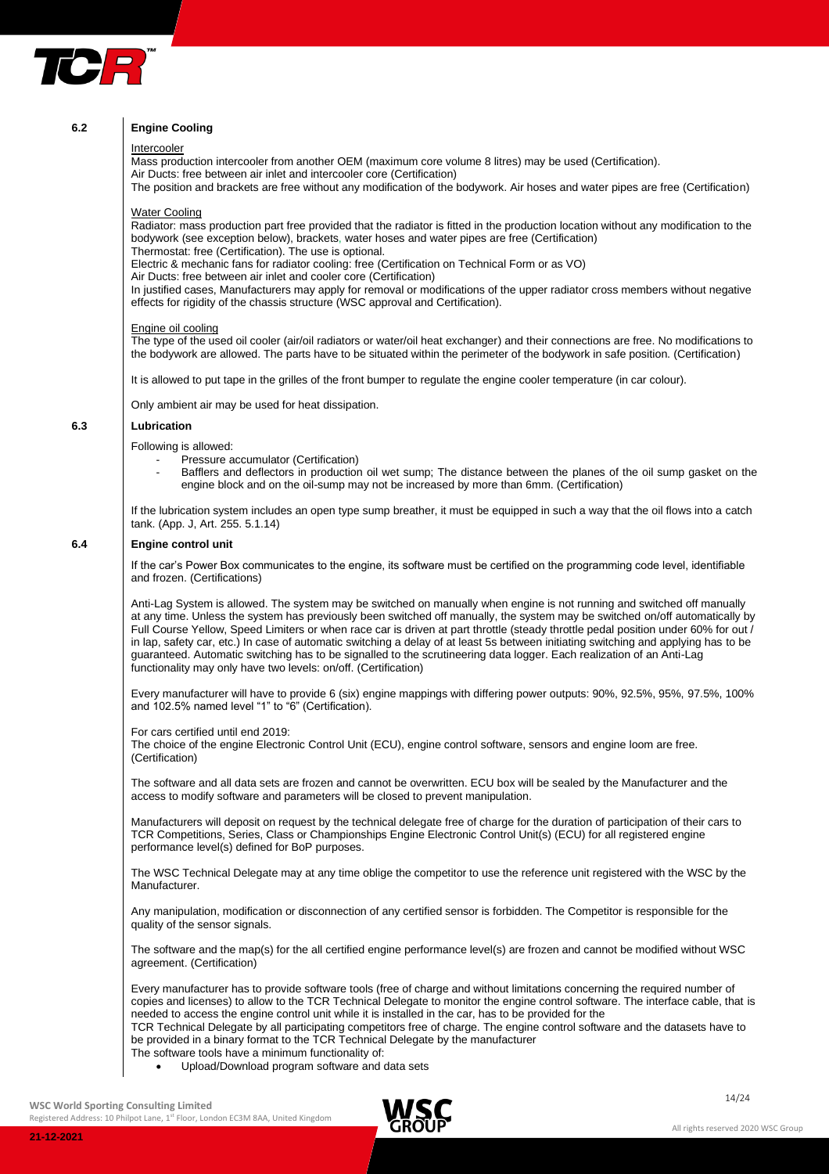

## **6.2 Engine Cooling**

#### Intercooler

Mass production intercooler from another OEM (maximum core volume 8 litres) may be used (Certification).

Air Ducts: free between air inlet and intercooler core (Certification)

The position and brackets are free without any modification of the bodywork. Air hoses and water pipes are free (Certification)

## Water Cooling

Radiator: mass production part free provided that the radiator is fitted in the production location without any modification to the bodywork (see exception below), brackets, water hoses and water pipes are free (Certification) Thermostat: free (Certification). The use is optional.

Electric & mechanic fans for radiator cooling: free (Certification on Technical Form or as VO)

Air Ducts: free between air inlet and cooler core (Certification)

In justified cases, Manufacturers may apply for removal or modifications of the upper radiator cross members without negative effects for rigidity of the chassis structure (WSC approval and Certification).

#### Engine oil cooling

The type of the used oil cooler (air/oil radiators or water/oil heat exchanger) and their connections are free. No modifications to the bodywork are allowed. The parts have to be situated within the perimeter of the bodywork in safe position. (Certification)

It is allowed to put tape in the grilles of the front bumper to regulate the engine cooler temperature (in car colour).

Only ambient air may be used for heat dissipation.

#### **6.3 Lubrication**

Following is allowed:

- Pressure accumulator (Certification)
- Bafflers and deflectors in production oil wet sump; The distance between the planes of the oil sump gasket on the engine block and on the oil-sump may not be increased by more than 6mm. (Certification)

If the lubrication system includes an open type sump breather, it must be equipped in such a way that the oil flows into a catch tank. (App. J, Art. 255. 5.1.14)

## **6.4 Engine control unit**

If the car's Power Box communicates to the engine, its software must be certified on the programming code level, identifiable and frozen. (Certifications)

Anti-Lag System is allowed. The system may be switched on manually when engine is not running and switched off manually at any time. Unless the system has previously been switched off manually, the system may be switched on/off automatically by Full Course Yellow, Speed Limiters or when race car is driven at part throttle (steady throttle pedal position under 60% for out / in lap, safety car, etc.) In case of automatic switching a delay of at least 5s between initiating switching and applying has to be guaranteed. Automatic switching has to be signalled to the scrutineering data logger. Each realization of an Anti-Lag functionality may only have two levels: on/off. (Certification)

Every manufacturer will have to provide 6 (six) engine mappings with differing power outputs: 90%, 92.5%, 95%, 97.5%, 100% and 102.5% named level "1" to "6" (Certification).

For cars certified until end 2019:

The choice of the engine Electronic Control Unit (ECU), engine control software, sensors and engine loom are free. (Certification)

The software and all data sets are frozen and cannot be overwritten. ECU box will be sealed by the Manufacturer and the access to modify software and parameters will be closed to prevent manipulation.

Manufacturers will deposit on request by the technical delegate free of charge for the duration of participation of their cars to TCR Competitions, Series, Class or Championships Engine Electronic Control Unit(s) (ECU) for all registered engine performance level(s) defined for BoP purposes.

The WSC Technical Delegate may at any time oblige the competitor to use the reference unit registered with the WSC by the Manufacturer.

Any manipulation, modification or disconnection of any certified sensor is forbidden. The Competitor is responsible for the quality of the sensor signals.

The software and the map(s) for the all certified engine performance level(s) are frozen and cannot be modified without WSC agreement. (Certification)

Every manufacturer has to provide software tools (free of charge and without limitations concerning the required number of copies and licenses) to allow to the TCR Technical Delegate to monitor the engine control software. The interface cable, that is needed to access the engine control unit while it is installed in the car, has to be provided for the TCR Technical Delegate by all participating competitors free of charge. The engine control software and the datasets have to be provided in a binary format to the TCR Technical Delegate by the manufacturer

- The software tools have a minimum functionality of:
	- Upload/Download program software and data sets

**WSC World Sporting Consulting Limited**

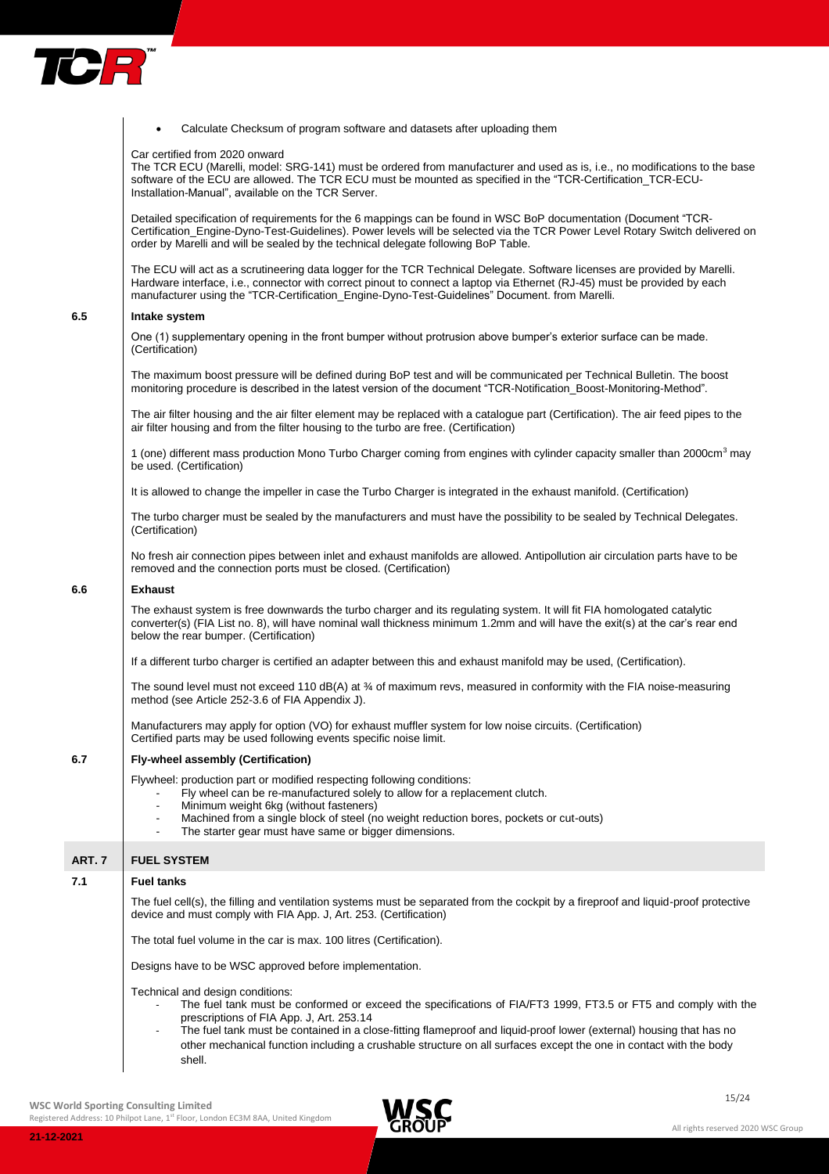

|        | Calculate Checksum of program software and datasets after uploading them                                                                                                                                                                                                                                                                                                                                                                                                         |
|--------|----------------------------------------------------------------------------------------------------------------------------------------------------------------------------------------------------------------------------------------------------------------------------------------------------------------------------------------------------------------------------------------------------------------------------------------------------------------------------------|
|        | Car certified from 2020 onward<br>The TCR ECU (Marelli, model: SRG-141) must be ordered from manufacturer and used as is, i.e., no modifications to the base<br>software of the ECU are allowed. The TCR ECU must be mounted as specified in the "TCR-Certification_TCR-ECU-<br>Installation-Manual", available on the TCR Server.                                                                                                                                               |
|        | Detailed specification of requirements for the 6 mappings can be found in WSC BoP documentation (Document "TCR-<br>Certification_Engine-Dyno-Test-Guidelines). Power levels will be selected via the TCR Power Level Rotary Switch delivered on<br>order by Marelli and will be sealed by the technical delegate following BoP Table.                                                                                                                                            |
|        | The ECU will act as a scrutineering data logger for the TCR Technical Delegate. Software licenses are provided by Marelli.<br>Hardware interface, i.e., connector with correct pinout to connect a laptop via Ethernet (RJ-45) must be provided by each<br>manufacturer using the "TCR-Certification_Engine-Dyno-Test-Guidelines" Document. from Marelli.                                                                                                                        |
| 6.5    | Intake system                                                                                                                                                                                                                                                                                                                                                                                                                                                                    |
|        | One (1) supplementary opening in the front bumper without protrusion above bumper's exterior surface can be made.<br>(Certification)                                                                                                                                                                                                                                                                                                                                             |
|        | The maximum boost pressure will be defined during BoP test and will be communicated per Technical Bulletin. The boost<br>monitoring procedure is described in the latest version of the document "TCR-Notification_Boost-Monitoring-Method".                                                                                                                                                                                                                                     |
|        | The air filter housing and the air filter element may be replaced with a catalogue part (Certification). The air feed pipes to the<br>air filter housing and from the filter housing to the turbo are free. (Certification)                                                                                                                                                                                                                                                      |
|        | 1 (one) different mass production Mono Turbo Charger coming from engines with cylinder capacity smaller than 2000cm <sup>3</sup> may<br>be used. (Certification)                                                                                                                                                                                                                                                                                                                 |
|        | It is allowed to change the impeller in case the Turbo Charger is integrated in the exhaust manifold. (Certification)                                                                                                                                                                                                                                                                                                                                                            |
|        | The turbo charger must be sealed by the manufacturers and must have the possibility to be sealed by Technical Delegates.<br>(Certification)                                                                                                                                                                                                                                                                                                                                      |
|        | No fresh air connection pipes between inlet and exhaust manifolds are allowed. Antipollution air circulation parts have to be<br>removed and the connection ports must be closed. (Certification)                                                                                                                                                                                                                                                                                |
| 6.6    | <b>Exhaust</b>                                                                                                                                                                                                                                                                                                                                                                                                                                                                   |
|        | The exhaust system is free downwards the turbo charger and its regulating system. It will fit FIA homologated catalytic<br>converter(s) (FIA List no. 8), will have nominal wall thickness minimum 1.2mm and will have the exit(s) at the car's rear end<br>below the rear bumper. (Certification)                                                                                                                                                                               |
|        | If a different turbo charger is certified an adapter between this and exhaust manifold may be used, (Certification).                                                                                                                                                                                                                                                                                                                                                             |
|        | The sound level must not exceed 110 dB(A) at 3/4 of maximum revs, measured in conformity with the FIA noise-measuring<br>method (see Article 252-3.6 of FIA Appendix J).                                                                                                                                                                                                                                                                                                         |
|        | Manufacturers may apply for option (VO) for exhaust muffler system for low noise circuits. (Certification)<br>Certified parts may be used following events specific noise limit.                                                                                                                                                                                                                                                                                                 |
| 6.7    | Fly-wheel assembly (Certification)                                                                                                                                                                                                                                                                                                                                                                                                                                               |
|        | Flywheel: production part or modified respecting following conditions:<br>Fly wheel can be re-manufactured solely to allow for a replacement clutch.<br>Minimum weight 6kg (without fasteners)<br>Machined from a single block of steel (no weight reduction bores, pockets or cut-outs)                                                                                                                                                                                         |
|        | The starter gear must have same or bigger dimensions.                                                                                                                                                                                                                                                                                                                                                                                                                            |
| ART. 7 | <b>FUEL SYSTEM</b>                                                                                                                                                                                                                                                                                                                                                                                                                                                               |
| 7.1    | <b>Fuel tanks</b>                                                                                                                                                                                                                                                                                                                                                                                                                                                                |
|        | The fuel cell(s), the filling and ventilation systems must be separated from the cockpit by a fireproof and liquid-proof protective<br>device and must comply with FIA App. J, Art. 253. (Certification)                                                                                                                                                                                                                                                                         |
|        | The total fuel volume in the car is max. 100 litres (Certification).                                                                                                                                                                                                                                                                                                                                                                                                             |
|        | Designs have to be WSC approved before implementation.                                                                                                                                                                                                                                                                                                                                                                                                                           |
|        | Technical and design conditions:<br>The fuel tank must be conformed or exceed the specifications of FIA/FT3 1999, FT3.5 or FT5 and comply with the<br>prescriptions of FIA App. J, Art. 253.14<br>The fuel tank must be contained in a close-fitting flameproof and liquid-proof lower (external) housing that has no<br>$\overline{\phantom{a}}$<br>other mechanical function including a crushable structure on all surfaces except the one in contact with the body<br>shell. |
|        |                                                                                                                                                                                                                                                                                                                                                                                                                                                                                  |

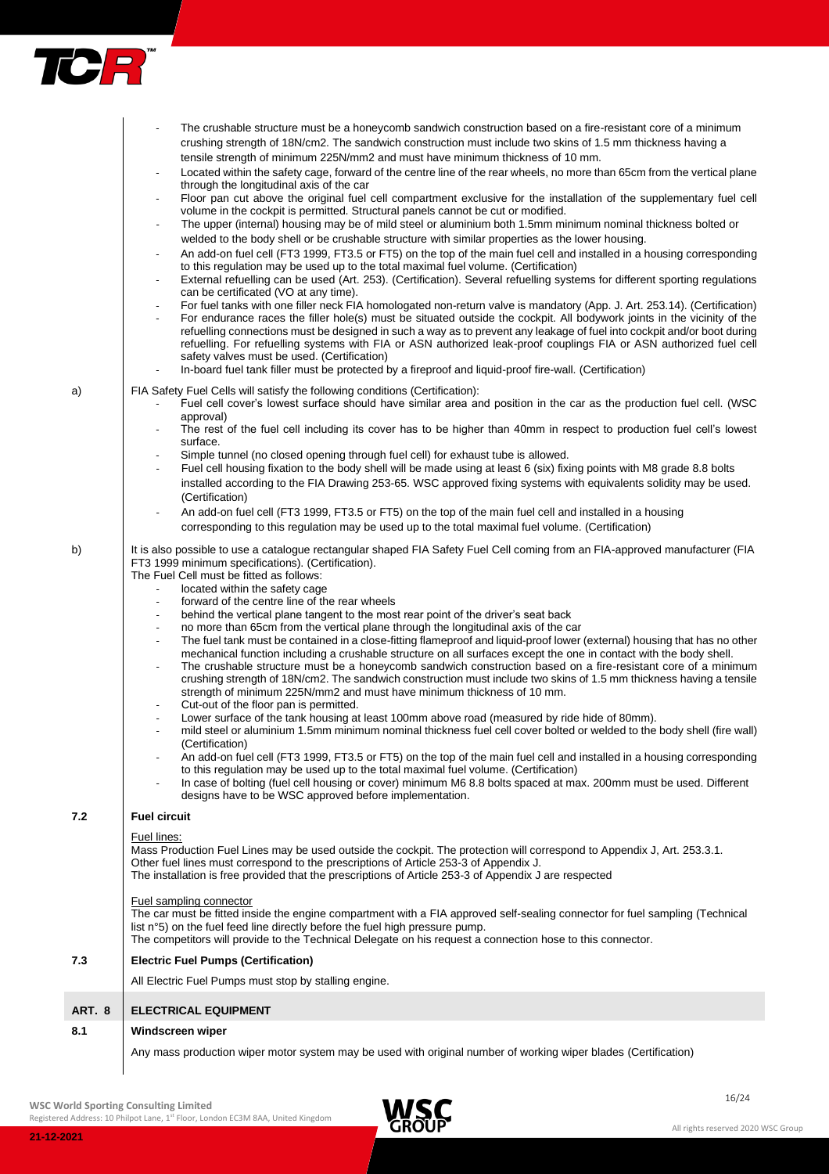

|        | The crushable structure must be a honeycomb sandwich construction based on a fire-resistant core of a minimum<br>crushing strength of 18N/cm2. The sandwich construction must include two skins of 1.5 mm thickness having a                                                                                                                                                                                                                                                                         |
|--------|------------------------------------------------------------------------------------------------------------------------------------------------------------------------------------------------------------------------------------------------------------------------------------------------------------------------------------------------------------------------------------------------------------------------------------------------------------------------------------------------------|
|        | tensile strength of minimum 225N/mm2 and must have minimum thickness of 10 mm.<br>Located within the safety cage, forward of the centre line of the rear wheels, no more than 65cm from the vertical plane                                                                                                                                                                                                                                                                                           |
|        | through the longitudinal axis of the car<br>Floor pan cut above the original fuel cell compartment exclusive for the installation of the supplementary fuel cell                                                                                                                                                                                                                                                                                                                                     |
|        | volume in the cockpit is permitted. Structural panels cannot be cut or modified.<br>The upper (internal) housing may be of mild steel or aluminium both 1.5mm minimum nominal thickness bolted or                                                                                                                                                                                                                                                                                                    |
|        | welded to the body shell or be crushable structure with similar properties as the lower housing.                                                                                                                                                                                                                                                                                                                                                                                                     |
|        | An add-on fuel cell (FT3 1999, FT3.5 or FT5) on the top of the main fuel cell and installed in a housing corresponding<br>to this regulation may be used up to the total maximal fuel volume. (Certification)<br>External refuelling can be used (Art. 253). (Certification). Several refuelling systems for different sporting regulations                                                                                                                                                          |
|        | can be certificated (VO at any time).                                                                                                                                                                                                                                                                                                                                                                                                                                                                |
|        | For fuel tanks with one filler neck FIA homologated non-return valve is mandatory (App. J. Art. 253.14). (Certification)<br>For endurance races the filler hole(s) must be situated outside the cockpit. All bodywork joints in the vicinity of the<br>refuelling connections must be designed in such a way as to prevent any leakage of fuel into cockpit and/or boot during<br>refuelling. For refuelling systems with FIA or ASN authorized leak-proof couplings FIA or ASN authorized fuel cell |
|        | safety valves must be used. (Certification)<br>In-board fuel tank filler must be protected by a fireproof and liquid-proof fire-wall. (Certification)                                                                                                                                                                                                                                                                                                                                                |
| a)     | FIA Safety Fuel Cells will satisfy the following conditions (Certification):                                                                                                                                                                                                                                                                                                                                                                                                                         |
|        | Fuel cell cover's lowest surface should have similar area and position in the car as the production fuel cell. (WSC<br>approval)                                                                                                                                                                                                                                                                                                                                                                     |
|        | The rest of the fuel cell including its cover has to be higher than 40mm in respect to production fuel cell's lowest<br>surface.                                                                                                                                                                                                                                                                                                                                                                     |
|        | Simple tunnel (no closed opening through fuel cell) for exhaust tube is allowed.                                                                                                                                                                                                                                                                                                                                                                                                                     |
|        | Fuel cell housing fixation to the body shell will be made using at least 6 (six) fixing points with M8 grade 8.8 bolts<br>installed according to the FIA Drawing 253-65. WSC approved fixing systems with equivalents solidity may be used.                                                                                                                                                                                                                                                          |
|        | (Certification)<br>An add-on fuel cell (FT3 1999, FT3.5 or FT5) on the top of the main fuel cell and installed in a housing                                                                                                                                                                                                                                                                                                                                                                          |
|        | corresponding to this regulation may be used up to the total maximal fuel volume. (Certification)                                                                                                                                                                                                                                                                                                                                                                                                    |
| b)     | It is also possible to use a catalogue rectangular shaped FIA Safety Fuel Cell coming from an FIA-approved manufacturer (FIA<br>FT3 1999 minimum specifications). (Certification).                                                                                                                                                                                                                                                                                                                   |
|        | The Fuel Cell must be fitted as follows:                                                                                                                                                                                                                                                                                                                                                                                                                                                             |
|        | located within the safety cage<br>forward of the centre line of the rear wheels                                                                                                                                                                                                                                                                                                                                                                                                                      |
|        | behind the vertical plane tangent to the most rear point of the driver's seat back                                                                                                                                                                                                                                                                                                                                                                                                                   |
|        | no more than 65cm from the vertical plane through the longitudinal axis of the car<br>The fuel tank must be contained in a close-fitting flameproof and liquid-proof lower (external) housing that has no other                                                                                                                                                                                                                                                                                      |
|        | mechanical function including a crushable structure on all surfaces except the one in contact with the body shell.<br>The crushable structure must be a honeycomb sandwich construction based on a fire-resistant core of a minimum                                                                                                                                                                                                                                                                  |
|        | crushing strength of 18N/cm2. The sandwich construction must include two skins of 1.5 mm thickness having a tensile<br>strength of minimum 225N/mm2 and must have minimum thickness of 10 mm.                                                                                                                                                                                                                                                                                                        |
|        | Cut-out of the floor pan is permitted.<br>Lower surface of the tank housing at least 100mm above road (measured by ride hide of 80mm).                                                                                                                                                                                                                                                                                                                                                               |
|        | mild steel or aluminium 1.5mm minimum nominal thickness fuel cell cover bolted or welded to the body shell (fire wall)<br>(Certification)                                                                                                                                                                                                                                                                                                                                                            |
|        | An add-on fuel cell (FT3 1999, FT3.5 or FT5) on the top of the main fuel cell and installed in a housing corresponding<br>to this regulation may be used up to the total maximal fuel volume. (Certification)                                                                                                                                                                                                                                                                                        |
|        | In case of bolting (fuel cell housing or cover) minimum M6 8.8 bolts spaced at max. 200mm must be used. Different<br>designs have to be WSC approved before implementation.                                                                                                                                                                                                                                                                                                                          |
| 7.2    | <b>Fuel circuit</b>                                                                                                                                                                                                                                                                                                                                                                                                                                                                                  |
|        | Fuel lines:                                                                                                                                                                                                                                                                                                                                                                                                                                                                                          |
|        | Mass Production Fuel Lines may be used outside the cockpit. The protection will correspond to Appendix J, Art. 253.3.1.<br>Other fuel lines must correspond to the prescriptions of Article 253-3 of Appendix J.<br>The installation is free provided that the prescriptions of Article 253-3 of Appendix J are respected                                                                                                                                                                            |
|        | Fuel sampling connector                                                                                                                                                                                                                                                                                                                                                                                                                                                                              |
|        | The car must be fitted inside the engine compartment with a FIA approved self-sealing connector for fuel sampling (Technical<br>list n°5) on the fuel feed line directly before the fuel high pressure pump.<br>The competitors will provide to the Technical Delegate on his request a connection hose to this connector.                                                                                                                                                                           |
| 7.3    | <b>Electric Fuel Pumps (Certification)</b>                                                                                                                                                                                                                                                                                                                                                                                                                                                           |
|        | All Electric Fuel Pumps must stop by stalling engine.                                                                                                                                                                                                                                                                                                                                                                                                                                                |
| ART. 8 | <b>ELECTRICAL EQUIPMENT</b>                                                                                                                                                                                                                                                                                                                                                                                                                                                                          |
| 8.1    | Windscreen wiper                                                                                                                                                                                                                                                                                                                                                                                                                                                                                     |
|        | Any mass production wiper motor system may be used with original number of working wiper blades (Certification)                                                                                                                                                                                                                                                                                                                                                                                      |

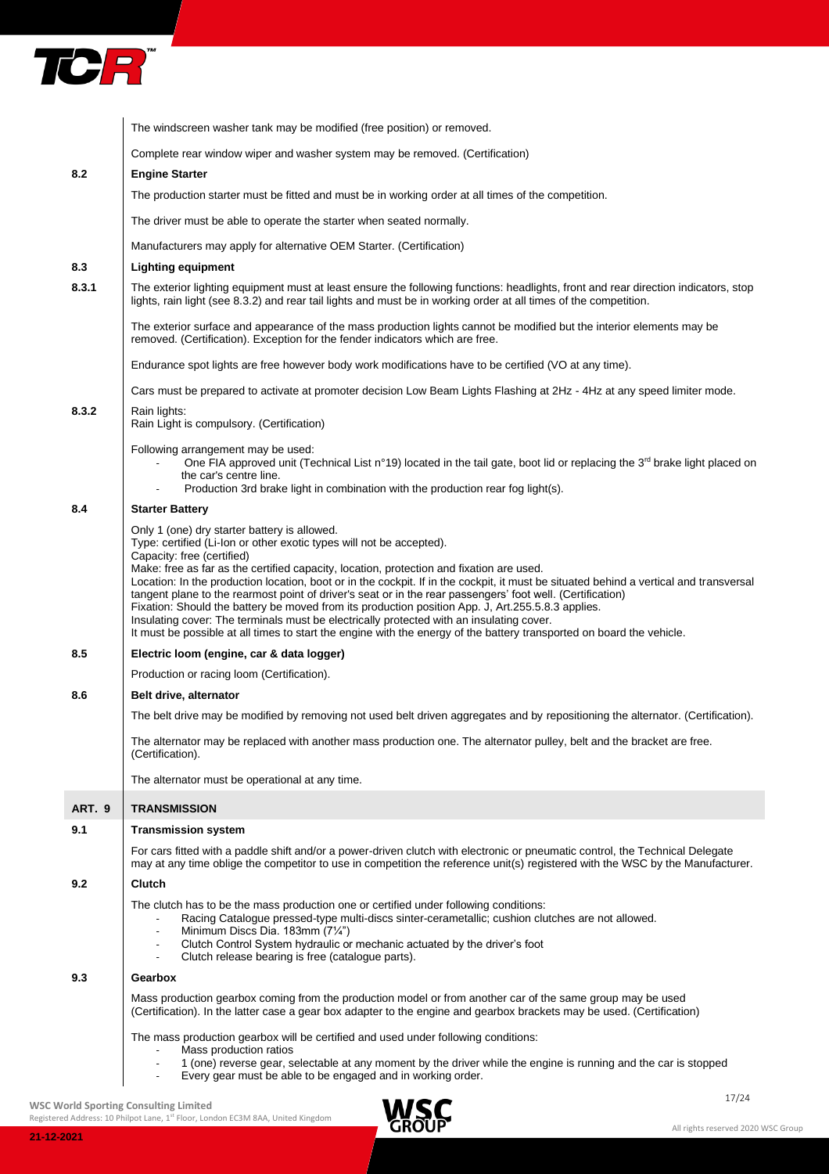

| 8.2<br>8.3<br>8.3.1 | Complete rear window wiper and washer system may be removed. (Certification)<br><b>Engine Starter</b><br>The production starter must be fitted and must be in working order at all times of the competition.<br>The driver must be able to operate the starter when seated normally.<br>Manufacturers may apply for alternative OEM Starter. (Certification)<br><b>Lighting equipment</b><br>The exterior lighting equipment must at least ensure the following functions: headlights, front and rear direction indicators, stop<br>lights, rain light (see 8.3.2) and rear tail lights and must be in working order at all times of the competition.<br>The exterior surface and appearance of the mass production lights cannot be modified but the interior elements may be<br>removed. (Certification). Exception for the fender indicators which are free. |
|---------------------|-----------------------------------------------------------------------------------------------------------------------------------------------------------------------------------------------------------------------------------------------------------------------------------------------------------------------------------------------------------------------------------------------------------------------------------------------------------------------------------------------------------------------------------------------------------------------------------------------------------------------------------------------------------------------------------------------------------------------------------------------------------------------------------------------------------------------------------------------------------------|
|                     |                                                                                                                                                                                                                                                                                                                                                                                                                                                                                                                                                                                                                                                                                                                                                                                                                                                                 |
|                     |                                                                                                                                                                                                                                                                                                                                                                                                                                                                                                                                                                                                                                                                                                                                                                                                                                                                 |
|                     |                                                                                                                                                                                                                                                                                                                                                                                                                                                                                                                                                                                                                                                                                                                                                                                                                                                                 |
|                     |                                                                                                                                                                                                                                                                                                                                                                                                                                                                                                                                                                                                                                                                                                                                                                                                                                                                 |
|                     |                                                                                                                                                                                                                                                                                                                                                                                                                                                                                                                                                                                                                                                                                                                                                                                                                                                                 |
|                     |                                                                                                                                                                                                                                                                                                                                                                                                                                                                                                                                                                                                                                                                                                                                                                                                                                                                 |
|                     |                                                                                                                                                                                                                                                                                                                                                                                                                                                                                                                                                                                                                                                                                                                                                                                                                                                                 |
|                     |                                                                                                                                                                                                                                                                                                                                                                                                                                                                                                                                                                                                                                                                                                                                                                                                                                                                 |
|                     | Endurance spot lights are free however body work modifications have to be certified (VO at any time).                                                                                                                                                                                                                                                                                                                                                                                                                                                                                                                                                                                                                                                                                                                                                           |
|                     | Cars must be prepared to activate at promoter decision Low Beam Lights Flashing at 2Hz - 4Hz at any speed limiter mode.                                                                                                                                                                                                                                                                                                                                                                                                                                                                                                                                                                                                                                                                                                                                         |
| 8.3.2               | Rain lights:<br>Rain Light is compulsory. (Certification)                                                                                                                                                                                                                                                                                                                                                                                                                                                                                                                                                                                                                                                                                                                                                                                                       |
|                     | Following arrangement may be used:                                                                                                                                                                                                                                                                                                                                                                                                                                                                                                                                                                                                                                                                                                                                                                                                                              |
|                     | One FIA approved unit (Technical List n°19) located in the tail gate, boot lid or replacing the 3 <sup>rd</sup> brake light placed on<br>the car's centre line.                                                                                                                                                                                                                                                                                                                                                                                                                                                                                                                                                                                                                                                                                                 |
|                     | Production 3rd brake light in combination with the production rear fog light(s).                                                                                                                                                                                                                                                                                                                                                                                                                                                                                                                                                                                                                                                                                                                                                                                |
| 8.4                 | <b>Starter Battery</b>                                                                                                                                                                                                                                                                                                                                                                                                                                                                                                                                                                                                                                                                                                                                                                                                                                          |
|                     | Only 1 (one) dry starter battery is allowed.<br>Type: certified (Li-lon or other exotic types will not be accepted).                                                                                                                                                                                                                                                                                                                                                                                                                                                                                                                                                                                                                                                                                                                                            |
|                     | Capacity: free (certified)                                                                                                                                                                                                                                                                                                                                                                                                                                                                                                                                                                                                                                                                                                                                                                                                                                      |
|                     | Make: free as far as the certified capacity, location, protection and fixation are used.<br>Location: In the production location, boot or in the cockpit. If in the cockpit, it must be situated behind a vertical and transversal                                                                                                                                                                                                                                                                                                                                                                                                                                                                                                                                                                                                                              |
|                     | tangent plane to the rearmost point of driver's seat or in the rear passengers' foot well. (Certification)                                                                                                                                                                                                                                                                                                                                                                                                                                                                                                                                                                                                                                                                                                                                                      |
|                     | Fixation: Should the battery be moved from its production position App. J, Art.255.5.8.3 applies.<br>Insulating cover: The terminals must be electrically protected with an insulating cover.                                                                                                                                                                                                                                                                                                                                                                                                                                                                                                                                                                                                                                                                   |
|                     | It must be possible at all times to start the engine with the energy of the battery transported on board the vehicle.                                                                                                                                                                                                                                                                                                                                                                                                                                                                                                                                                                                                                                                                                                                                           |
| 8.5                 | Electric loom (engine, car & data logger)                                                                                                                                                                                                                                                                                                                                                                                                                                                                                                                                                                                                                                                                                                                                                                                                                       |
|                     | Production or racing loom (Certification).                                                                                                                                                                                                                                                                                                                                                                                                                                                                                                                                                                                                                                                                                                                                                                                                                      |
| 8.6                 | Belt drive, alternator                                                                                                                                                                                                                                                                                                                                                                                                                                                                                                                                                                                                                                                                                                                                                                                                                                          |
|                     | The belt drive may be modified by removing not used belt driven aggregates and by repositioning the alternator. (Certification).                                                                                                                                                                                                                                                                                                                                                                                                                                                                                                                                                                                                                                                                                                                                |
|                     | The alternator may be replaced with another mass production one. The alternator pulley, belt and the bracket are free.<br>(Certification).                                                                                                                                                                                                                                                                                                                                                                                                                                                                                                                                                                                                                                                                                                                      |
|                     | The alternator must be operational at any time.                                                                                                                                                                                                                                                                                                                                                                                                                                                                                                                                                                                                                                                                                                                                                                                                                 |
| ART. 9              | <b>TRANSMISSION</b>                                                                                                                                                                                                                                                                                                                                                                                                                                                                                                                                                                                                                                                                                                                                                                                                                                             |
| 9.1                 | <b>Transmission system</b>                                                                                                                                                                                                                                                                                                                                                                                                                                                                                                                                                                                                                                                                                                                                                                                                                                      |
|                     | For cars fitted with a paddle shift and/or a power-driven clutch with electronic or pneumatic control, the Technical Delegate<br>may at any time oblige the competitor to use in competition the reference unit(s) registered with the WSC by the Manufacturer.                                                                                                                                                                                                                                                                                                                                                                                                                                                                                                                                                                                                 |
| 9.2                 | <b>Clutch</b>                                                                                                                                                                                                                                                                                                                                                                                                                                                                                                                                                                                                                                                                                                                                                                                                                                                   |
|                     | The clutch has to be the mass production one or certified under following conditions:                                                                                                                                                                                                                                                                                                                                                                                                                                                                                                                                                                                                                                                                                                                                                                           |
|                     | Racing Catalogue pressed-type multi-discs sinter-cerametallic; cushion clutches are not allowed.<br>Minimum Discs Dia. 183mm (71/4")                                                                                                                                                                                                                                                                                                                                                                                                                                                                                                                                                                                                                                                                                                                            |
|                     | Clutch Control System hydraulic or mechanic actuated by the driver's foot<br>Clutch release bearing is free (catalogue parts).                                                                                                                                                                                                                                                                                                                                                                                                                                                                                                                                                                                                                                                                                                                                  |
| 9.3                 | Gearbox                                                                                                                                                                                                                                                                                                                                                                                                                                                                                                                                                                                                                                                                                                                                                                                                                                                         |
|                     | Mass production gearbox coming from the production model or from another car of the same group may be used<br>(Certification). In the latter case a gear box adapter to the engine and gearbox brackets may be used. (Certification)                                                                                                                                                                                                                                                                                                                                                                                                                                                                                                                                                                                                                            |
|                     | The mass production gearbox will be certified and used under following conditions:                                                                                                                                                                                                                                                                                                                                                                                                                                                                                                                                                                                                                                                                                                                                                                              |
|                     | Mass production ratios                                                                                                                                                                                                                                                                                                                                                                                                                                                                                                                                                                                                                                                                                                                                                                                                                                          |
|                     | 1 (one) reverse gear, selectable at any moment by the driver while the engine is running and the car is stopped<br>Every gear must be able to be engaged and in working order.                                                                                                                                                                                                                                                                                                                                                                                                                                                                                                                                                                                                                                                                                  |
|                     | 17/24<br><b>INICC</b><br><b>WSC World Sporting Consulting Limited</b>                                                                                                                                                                                                                                                                                                                                                                                                                                                                                                                                                                                                                                                                                                                                                                                           |

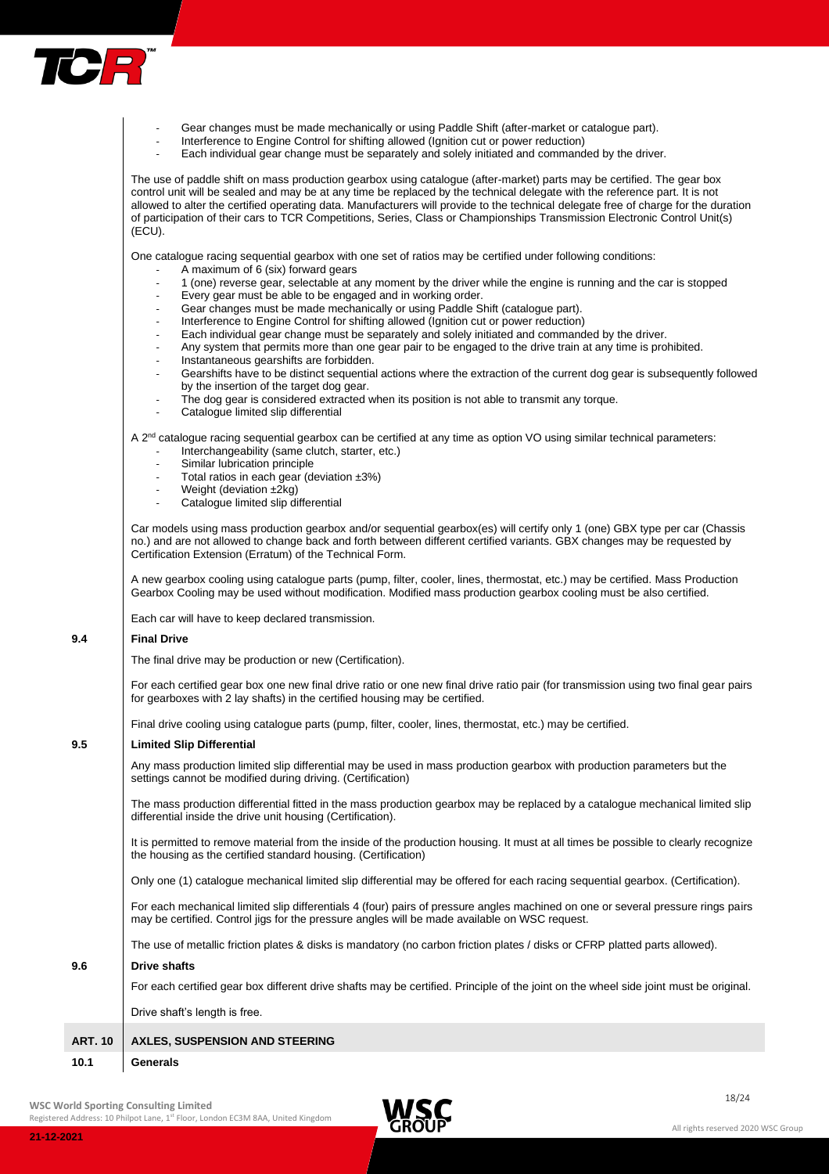

- Gear changes must be made mechanically or using Paddle Shift (after-market or catalogue part).
	- Interference to Engine Control for shifting allowed (Ignition cut or power reduction)
- Each individual gear change must be separately and solely initiated and commanded by the driver.

The use of paddle shift on mass production gearbox using catalogue (after-market) parts may be certified. The gear box control unit will be sealed and may be at any time be replaced by the technical delegate with the reference part. It is not allowed to alter the certified operating data. Manufacturers will provide to the technical delegate free of charge for the duration of participation of their cars to TCR Competitions, Series, Class or Championships Transmission Electronic Control Unit(s) (ECU).

One catalogue racing sequential gearbox with one set of ratios may be certified under following conditions:

- A maximum of 6 (six) forward gears
- 1 (one) reverse gear, selectable at any moment by the driver while the engine is running and the car is stopped
- Every gear must be able to be engaged and in working order.
- Gear changes must be made mechanically or using Paddle Shift (catalogue part).
- Interference to Engine Control for shifting allowed (Ignition cut or power reduction)
- Each individual gear change must be separately and solely initiated and commanded by the driver.
- Any system that permits more than one gear pair to be engaged to the drive train at any time is prohibited.
- Instantaneous gearshifts are forbidden.
- Gearshifts have to be distinct sequential actions where the extraction of the current dog gear is subsequently followed by the insertion of the target dog gear.
- The dog gear is considered extracted when its position is not able to transmit any torque.
- Catalogue limited slip differential

A 2<sup>nd</sup> catalogue racing sequential gearbox can be certified at any time as option VO using similar technical parameters: Interchangeability (same clutch, starter, etc.)

- Similar lubrication principle
- Total ratios in each gear (deviation  $\pm 3\%$ )
- Weight (deviation  $\pm 2kq$ )
- Catalogue limited slip differential

Car models using mass production gearbox and/or sequential gearbox(es) will certify only 1 (one) GBX type per car (Chassis no.) and are not allowed to change back and forth between different certified variants. GBX changes may be requested by Certification Extension (Erratum) of the Technical Form.

A new gearbox cooling using catalogue parts (pump, filter, cooler, lines, thermostat, etc.) may be certified. Mass Production Gearbox Cooling may be used without modification. Modified mass production gearbox cooling must be also certified.

Each car will have to keep declared transmission.

## **9.4 Final Drive**

The final drive may be production or new (Certification).

For each certified gear box one new final drive ratio or one new final drive ratio pair (for transmission using two final gear pairs for gearboxes with 2 lay shafts) in the certified housing may be certified.

Final drive cooling using catalogue parts (pump, filter, cooler, lines, thermostat, etc.) may be certified.

## **9.5 Limited Slip Differential**

Any mass production limited slip differential may be used in mass production gearbox with production parameters but the settings cannot be modified during driving. (Certification)

The mass production differential fitted in the mass production gearbox may be replaced by a catalogue mechanical limited slip differential inside the drive unit housing (Certification).

It is permitted to remove material from the inside of the production housing. It must at all times be possible to clearly recognize the housing as the certified standard housing. (Certification)

Only one (1) catalogue mechanical limited slip differential may be offered for each racing sequential gearbox. (Certification).

For each mechanical limited slip differentials 4 (four) pairs of pressure angles machined on one or several pressure rings pairs may be certified. Control jigs for the pressure angles will be made available on WSC request.

The use of metallic friction plates & disks is mandatory (no carbon friction plates / disks or CFRP platted parts allowed).

## **9.6 Drive shafts**

For each certified gear box different drive shafts may be certified. Principle of the joint on the wheel side joint must be original.

Drive shaft's length is free.

## **ART. 10 AXLES, SUSPENSION AND STEERING**

## **10.1 Generals**

**WSC World Sporting Consulting Limited**

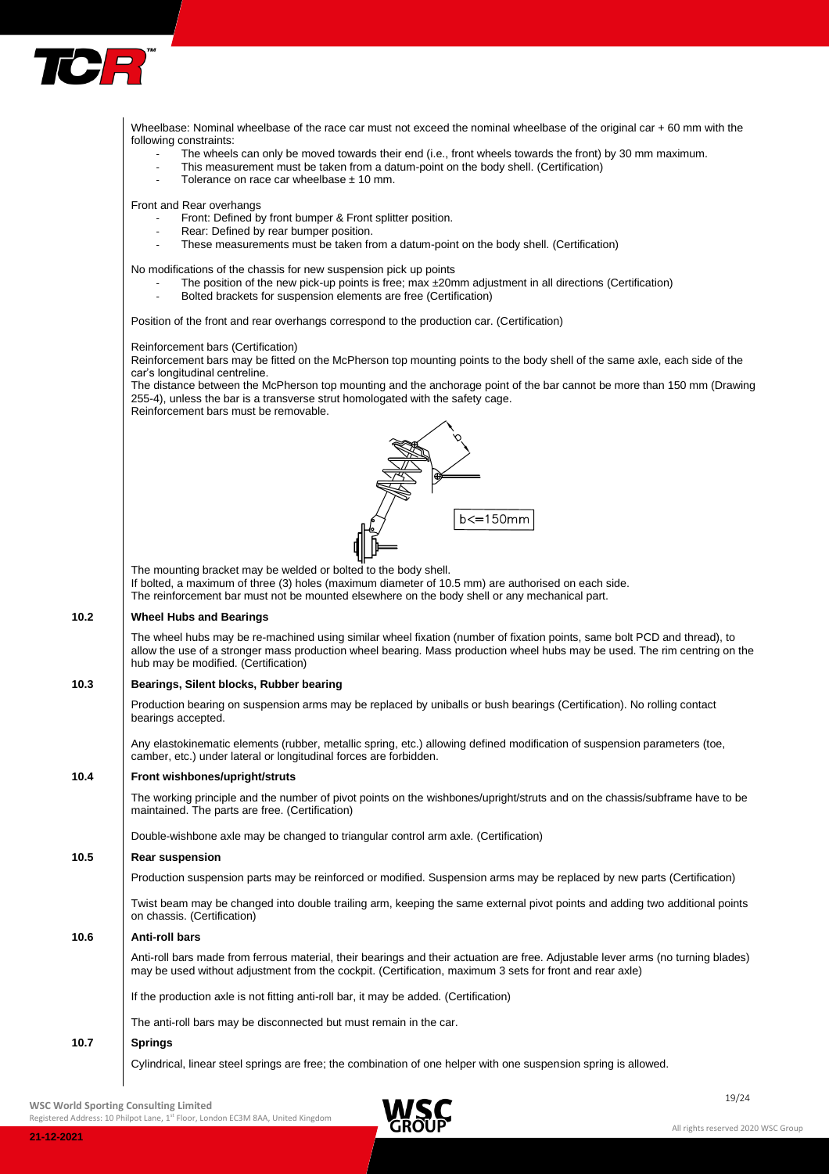

Wheelbase: Nominal wheelbase of the race car must not exceed the nominal wheelbase of the original car + 60 mm with the following constraints: The wheels can only be moved towards their end (i.e., front wheels towards the front) by 30 mm maximum. This measurement must be taken from a datum-point on the body shell. (Certification) Tolerance on race car wheelbase  $\pm$  10 mm. Front and Rear overhangs Front: Defined by front bumper & Front splitter position. Rear: Defined by rear bumper position. These measurements must be taken from a datum-point on the body shell. (Certification) No modifications of the chassis for new suspension pick up points The position of the new pick-up points is free; max  $\pm 20$ mm adjustment in all directions (Certification) Bolted brackets for suspension elements are free (Certification) Position of the front and rear overhangs correspond to the production car. (Certification) Reinforcement bars (Certification) Reinforcement bars may be fitted on the McPherson top mounting points to the body shell of the same axle, each side of the car's longitudinal centreline. The distance between the McPherson top mounting and the anchorage point of the bar cannot be more than 150 mm (Drawing 255-4), unless the bar is a transverse strut homologated with the safety cage. Reinforcement bars must be removable.  $b \leq 150$ mm The mounting bracket may be welded or bolted to the body shell. If bolted, a maximum of three (3) holes (maximum diameter of 10.5 mm) are authorised on each side. The reinforcement bar must not be mounted elsewhere on the body shell or any mechanical part. **10.2 Wheel Hubs and Bearings** The wheel hubs may be re-machined using similar wheel fixation (number of fixation points, same bolt PCD and thread), to allow the use of a stronger mass production wheel bearing. Mass production wheel hubs may be used. The rim centring on the hub may be modified. (Certification) **10.3 Bearings, Silent blocks, Rubber bearing** Production bearing on suspension arms may be replaced by uniballs or bush bearings (Certification). No rolling contact bearings accepted. Any elastokinematic elements (rubber, metallic spring, etc.) allowing defined modification of suspension parameters (toe, camber, etc.) under lateral or longitudinal forces are forbidden. **10.4 Front wishbones/upright/struts** The working principle and the number of pivot points on the wishbones/upright/struts and on the chassis/subframe have to be maintained. The parts are free. (Certification) Double-wishbone axle may be changed to triangular control arm axle. (Certification) **10.5 Rear suspension** Production suspension parts may be reinforced or modified. Suspension arms may be replaced by new parts (Certification) Twist beam may be changed into double trailing arm, keeping the same external pivot points and adding two additional points on chassis. (Certification) **10.6 Anti-roll bars** Anti-roll bars made from ferrous material, their bearings and their actuation are free. Adjustable lever arms (no turning blades) may be used without adjustment from the cockpit. (Certification, maximum 3 sets for front and rear axle) If the production axle is not fitting anti-roll bar, it may be added. (Certification) The anti-roll bars may be disconnected but must remain in the car. **10.7 Springs** Cylindrical, linear steel springs are free; the combination of one helper with one suspension spring is allowed.

 $\blacksquare$ **WSC World Sporting Consulting Limited**

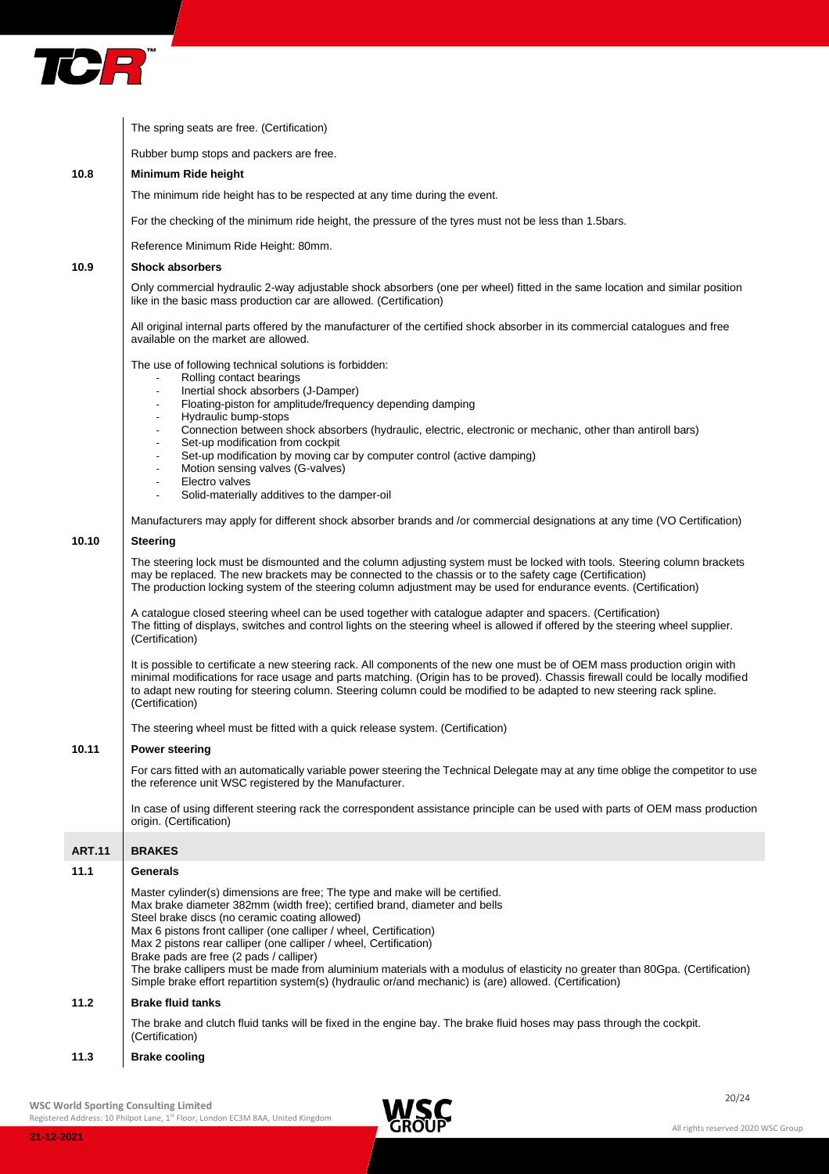

|               | The spring seats are free. (Certification)                                                                                                                                                                                                                                                                                                                                                                                                                                                                                                                                                                                                     |
|---------------|------------------------------------------------------------------------------------------------------------------------------------------------------------------------------------------------------------------------------------------------------------------------------------------------------------------------------------------------------------------------------------------------------------------------------------------------------------------------------------------------------------------------------------------------------------------------------------------------------------------------------------------------|
|               | Rubber bump stops and packers are free.                                                                                                                                                                                                                                                                                                                                                                                                                                                                                                                                                                                                        |
| 10.8          | Minimum Ride height                                                                                                                                                                                                                                                                                                                                                                                                                                                                                                                                                                                                                            |
|               | The minimum ride height has to be respected at any time during the event.                                                                                                                                                                                                                                                                                                                                                                                                                                                                                                                                                                      |
|               | For the checking of the minimum ride height, the pressure of the tyres must not be less than 1.5bars.                                                                                                                                                                                                                                                                                                                                                                                                                                                                                                                                          |
|               | Reference Minimum Ride Height: 80mm.                                                                                                                                                                                                                                                                                                                                                                                                                                                                                                                                                                                                           |
| 10.9          | <b>Shock absorbers</b>                                                                                                                                                                                                                                                                                                                                                                                                                                                                                                                                                                                                                         |
|               | Only commercial hydraulic 2-way adjustable shock absorbers (one per wheel) fitted in the same location and similar position<br>like in the basic mass production car are allowed. (Certification)                                                                                                                                                                                                                                                                                                                                                                                                                                              |
|               | All original internal parts offered by the manufacturer of the certified shock absorber in its commercial catalogues and free<br>available on the market are allowed.                                                                                                                                                                                                                                                                                                                                                                                                                                                                          |
|               | The use of following technical solutions is forbidden:<br>Rolling contact bearings<br>Inertial shock absorbers (J-Damper)<br>$\blacksquare$<br>Floating-piston for amplitude/frequency depending damping<br>$\overline{\phantom{a}}$<br>Hydraulic bump-stops<br>$\overline{\phantom{a}}$<br>Connection between shock absorbers (hydraulic, electric, electronic or mechanic, other than antiroll bars)<br>$\overline{\phantom{a}}$                                                                                                                                                                                                             |
|               | Set-up modification from cockpit<br>$\overline{\phantom{a}}$<br>Set-up modification by moving car by computer control (active damping)<br>$\overline{\phantom{a}}$<br>Motion sensing valves (G-valves)<br>$\overline{\phantom{a}}$                                                                                                                                                                                                                                                                                                                                                                                                             |
|               | Electro valves<br>$\overline{\phantom{a}}$<br>Solid-materially additives to the damper-oil<br>$\overline{\phantom{a}}$                                                                                                                                                                                                                                                                                                                                                                                                                                                                                                                         |
|               | Manufacturers may apply for different shock absorber brands and /or commercial designations at any time (VO Certification)                                                                                                                                                                                                                                                                                                                                                                                                                                                                                                                     |
| 10.10         | <b>Steering</b>                                                                                                                                                                                                                                                                                                                                                                                                                                                                                                                                                                                                                                |
|               | The steering lock must be dismounted and the column adjusting system must be locked with tools. Steering column brackets<br>may be replaced. The new brackets may be connected to the chassis or to the safety cage (Certification)<br>The production locking system of the steering column adjustment may be used for endurance events. (Certification)                                                                                                                                                                                                                                                                                       |
|               | A catalogue closed steering wheel can be used together with catalogue adapter and spacers. (Certification)<br>The fitting of displays, switches and control lights on the steering wheel is allowed if offered by the steering wheel supplier.<br>(Certification)                                                                                                                                                                                                                                                                                                                                                                              |
|               | It is possible to certificate a new steering rack. All components of the new one must be of OEM mass production origin with<br>minimal modifications for race usage and parts matching. (Origin has to be proved). Chassis firewall could be locally modified<br>to adapt new routing for steering column. Steering column could be modified to be adapted to new steering rack spline.<br>(Certification)                                                                                                                                                                                                                                     |
|               | The steering wheel must be fitted with a quick release system. (Certification)                                                                                                                                                                                                                                                                                                                                                                                                                                                                                                                                                                 |
| 10.11         | <b>Power steering</b>                                                                                                                                                                                                                                                                                                                                                                                                                                                                                                                                                                                                                          |
|               | For cars fitted with an automatically variable power steering the Technical Delegate may at any time oblige the competitor to use<br>the reference unit WSC registered by the Manufacturer.                                                                                                                                                                                                                                                                                                                                                                                                                                                    |
|               | In case of using different steering rack the correspondent assistance principle can be used with parts of OEM mass production<br>origin. (Certification)                                                                                                                                                                                                                                                                                                                                                                                                                                                                                       |
| <b>ART.11</b> | <b>BRAKES</b>                                                                                                                                                                                                                                                                                                                                                                                                                                                                                                                                                                                                                                  |
| 11.1          | <b>Generals</b>                                                                                                                                                                                                                                                                                                                                                                                                                                                                                                                                                                                                                                |
|               | Master cylinder(s) dimensions are free: The type and make will be certified.<br>Max brake diameter 382mm (width free); certified brand, diameter and bells<br>Steel brake discs (no ceramic coating allowed)<br>Max 6 pistons front calliper (one calliper / wheel, Certification)<br>Max 2 pistons rear calliper (one calliper / wheel, Certification)<br>Brake pads are free (2 pads / calliper)<br>The brake callipers must be made from aluminium materials with a modulus of elasticity no greater than 80Gpa. (Certification)<br>Simple brake effort repartition system(s) (hydraulic or/and mechanic) is (are) allowed. (Certification) |
| 11.2          | <b>Brake fluid tanks</b>                                                                                                                                                                                                                                                                                                                                                                                                                                                                                                                                                                                                                       |
|               | The brake and clutch fluid tanks will be fixed in the engine bay. The brake fluid hoses may pass through the cockpit.<br>(Certification)                                                                                                                                                                                                                                                                                                                                                                                                                                                                                                       |
|               |                                                                                                                                                                                                                                                                                                                                                                                                                                                                                                                                                                                                                                                |

# **11.3 Brake cooling**

WSC World Sporting Consulting Limited and Consulting Limited and Consulting Limited and Consulting Limited and Consulting Limited and Consulting Limited and Consulting Limited and Consulting Limited and Consulting Limited

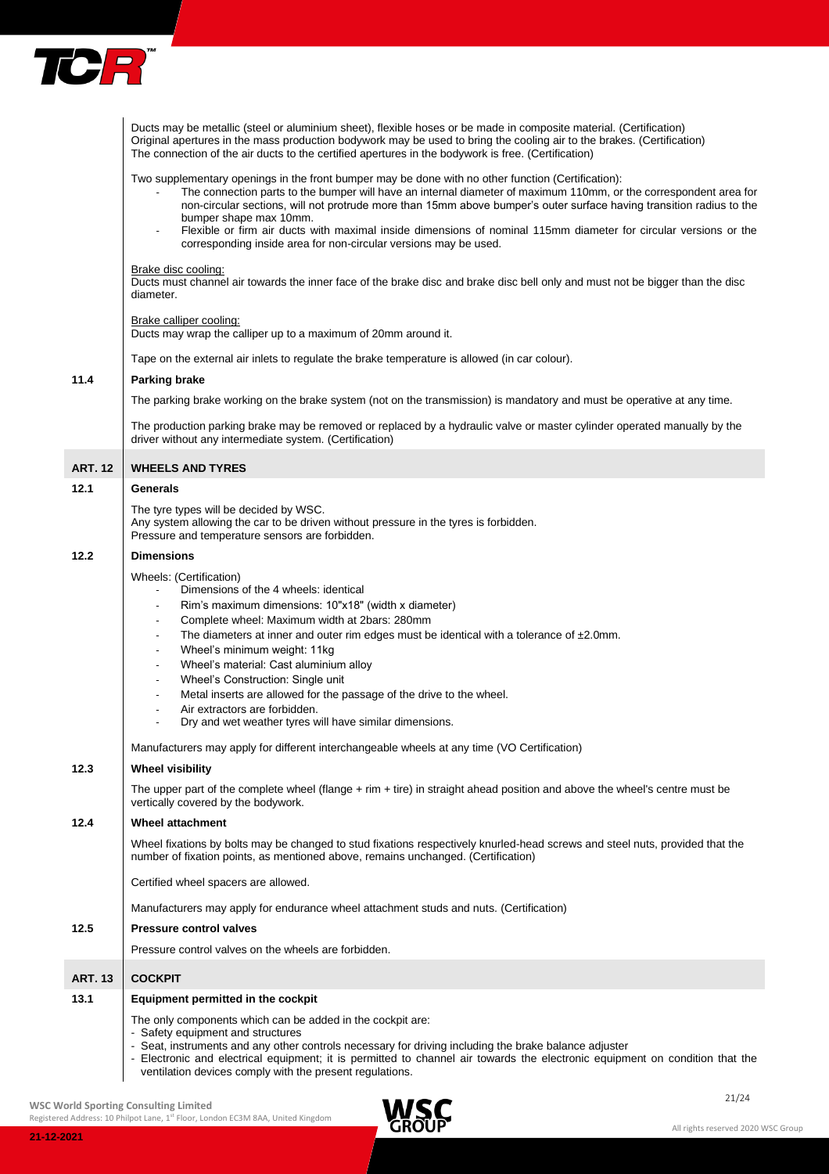

|                | Ducts may be metallic (steel or aluminium sheet), flexible hoses or be made in composite material. (Certification)<br>Original apertures in the mass production bodywork may be used to bring the cooling air to the brakes. (Certification)<br>The connection of the air ducts to the certified apertures in the bodywork is free. (Certification)                                                                                                                                                                                                                                                                                                                                                                                                                |
|----------------|--------------------------------------------------------------------------------------------------------------------------------------------------------------------------------------------------------------------------------------------------------------------------------------------------------------------------------------------------------------------------------------------------------------------------------------------------------------------------------------------------------------------------------------------------------------------------------------------------------------------------------------------------------------------------------------------------------------------------------------------------------------------|
|                | Two supplementary openings in the front bumper may be done with no other function (Certification):<br>The connection parts to the bumper will have an internal diameter of maximum 110mm, or the correspondent area for<br>non-circular sections, will not protrude more than 15mm above bumper's outer surface having transition radius to the<br>bumper shape max 10mm.<br>Flexible or firm air ducts with maximal inside dimensions of nominal 115mm diameter for circular versions or the<br>corresponding inside area for non-circular versions may be used.                                                                                                                                                                                                  |
|                | Brake disc cooling:<br>Ducts must channel air towards the inner face of the brake disc and brake disc bell only and must not be bigger than the disc<br>diameter.                                                                                                                                                                                                                                                                                                                                                                                                                                                                                                                                                                                                  |
|                | Brake calliper cooling:<br>Ducts may wrap the calliper up to a maximum of 20mm around it.                                                                                                                                                                                                                                                                                                                                                                                                                                                                                                                                                                                                                                                                          |
|                | Tape on the external air inlets to regulate the brake temperature is allowed (in car colour).                                                                                                                                                                                                                                                                                                                                                                                                                                                                                                                                                                                                                                                                      |
| 11.4           | <b>Parking brake</b>                                                                                                                                                                                                                                                                                                                                                                                                                                                                                                                                                                                                                                                                                                                                               |
|                | The parking brake working on the brake system (not on the transmission) is mandatory and must be operative at any time.                                                                                                                                                                                                                                                                                                                                                                                                                                                                                                                                                                                                                                            |
|                | The production parking brake may be removed or replaced by a hydraulic valve or master cylinder operated manually by the<br>driver without any intermediate system. (Certification)                                                                                                                                                                                                                                                                                                                                                                                                                                                                                                                                                                                |
|                |                                                                                                                                                                                                                                                                                                                                                                                                                                                                                                                                                                                                                                                                                                                                                                    |
| <b>ART. 12</b> | <b>WHEELS AND TYRES</b>                                                                                                                                                                                                                                                                                                                                                                                                                                                                                                                                                                                                                                                                                                                                            |
| 12.1           | Generals                                                                                                                                                                                                                                                                                                                                                                                                                                                                                                                                                                                                                                                                                                                                                           |
|                | The tyre types will be decided by WSC.<br>Any system allowing the car to be driven without pressure in the tyres is forbidden.<br>Pressure and temperature sensors are forbidden.                                                                                                                                                                                                                                                                                                                                                                                                                                                                                                                                                                                  |
| 12.2           | <b>Dimensions</b>                                                                                                                                                                                                                                                                                                                                                                                                                                                                                                                                                                                                                                                                                                                                                  |
|                | Wheels: (Certification)<br>Dimensions of the 4 wheels: identical<br>Rim's maximum dimensions: 10"x18" (width x diameter)<br>$\overline{\phantom{a}}$<br>Complete wheel: Maximum width at 2bars: 280mm<br>$\overline{\phantom{a}}$<br>The diameters at inner and outer rim edges must be identical with a tolerance of $\pm 2.0$ mm.<br>$\overline{\phantom{a}}$<br>Wheel's minimum weight: 11kg<br>$\overline{\phantom{a}}$<br>Wheel's material: Cast aluminium alloy<br>$\overline{\phantom{a}}$<br>Wheel's Construction: Single unit<br>$\overline{\phantom{a}}$<br>Metal inserts are allowed for the passage of the drive to the wheel.<br>$\overline{\phantom{a}}$<br>Air extractors are forbidden.<br>Dry and wet weather tyres will have similar dimensions. |
|                | Manufacturers may apply for different interchangeable wheels at any time (VO Certification)                                                                                                                                                                                                                                                                                                                                                                                                                                                                                                                                                                                                                                                                        |
| 12.3           | <b>Wheel visibility</b>                                                                                                                                                                                                                                                                                                                                                                                                                                                                                                                                                                                                                                                                                                                                            |
|                | The upper part of the complete wheel (flange + rim + tire) in straight ahead position and above the wheel's centre must be<br>vertically covered by the bodywork.                                                                                                                                                                                                                                                                                                                                                                                                                                                                                                                                                                                                  |
| 12.4           | <b>Wheel attachment</b>                                                                                                                                                                                                                                                                                                                                                                                                                                                                                                                                                                                                                                                                                                                                            |
|                | Wheel fixations by bolts may be changed to stud fixations respectively knurled-head screws and steel nuts, provided that the<br>number of fixation points, as mentioned above, remains unchanged. (Certification)                                                                                                                                                                                                                                                                                                                                                                                                                                                                                                                                                  |
|                | Certified wheel spacers are allowed.                                                                                                                                                                                                                                                                                                                                                                                                                                                                                                                                                                                                                                                                                                                               |
|                | Manufacturers may apply for endurance wheel attachment studs and nuts. (Certification)                                                                                                                                                                                                                                                                                                                                                                                                                                                                                                                                                                                                                                                                             |
| 12.5           | <b>Pressure control valves</b>                                                                                                                                                                                                                                                                                                                                                                                                                                                                                                                                                                                                                                                                                                                                     |
|                | Pressure control valves on the wheels are forbidden.                                                                                                                                                                                                                                                                                                                                                                                                                                                                                                                                                                                                                                                                                                               |
| <b>ART. 13</b> | <b>COCKPIT</b>                                                                                                                                                                                                                                                                                                                                                                                                                                                                                                                                                                                                                                                                                                                                                     |
| 13.1           | Equipment permitted in the cockpit                                                                                                                                                                                                                                                                                                                                                                                                                                                                                                                                                                                                                                                                                                                                 |
|                | The only components which can be added in the cockpit are:<br>- Safety equipment and structures<br>- Seat, instruments and any other controls necessary for driving including the brake balance adjuster<br>- Electronic and electrical equipment; it is permitted to channel air towards the electronic equipment on condition that the<br>ventilation devices comply with the present regulations.                                                                                                                                                                                                                                                                                                                                                               |

WSC World Sporting Consulting Limited and Consulting Limited and Consulting Limited and Consulting Limited and Consulting Limited and Consulting Limited and Consulting Limited and Consulting Limited and Consulting Limited

Registered Address: 10 Philpot Lane, 1<sup>st</sup> Floor, London EC3M 8AA, United Kingdom

**21-12-2021**

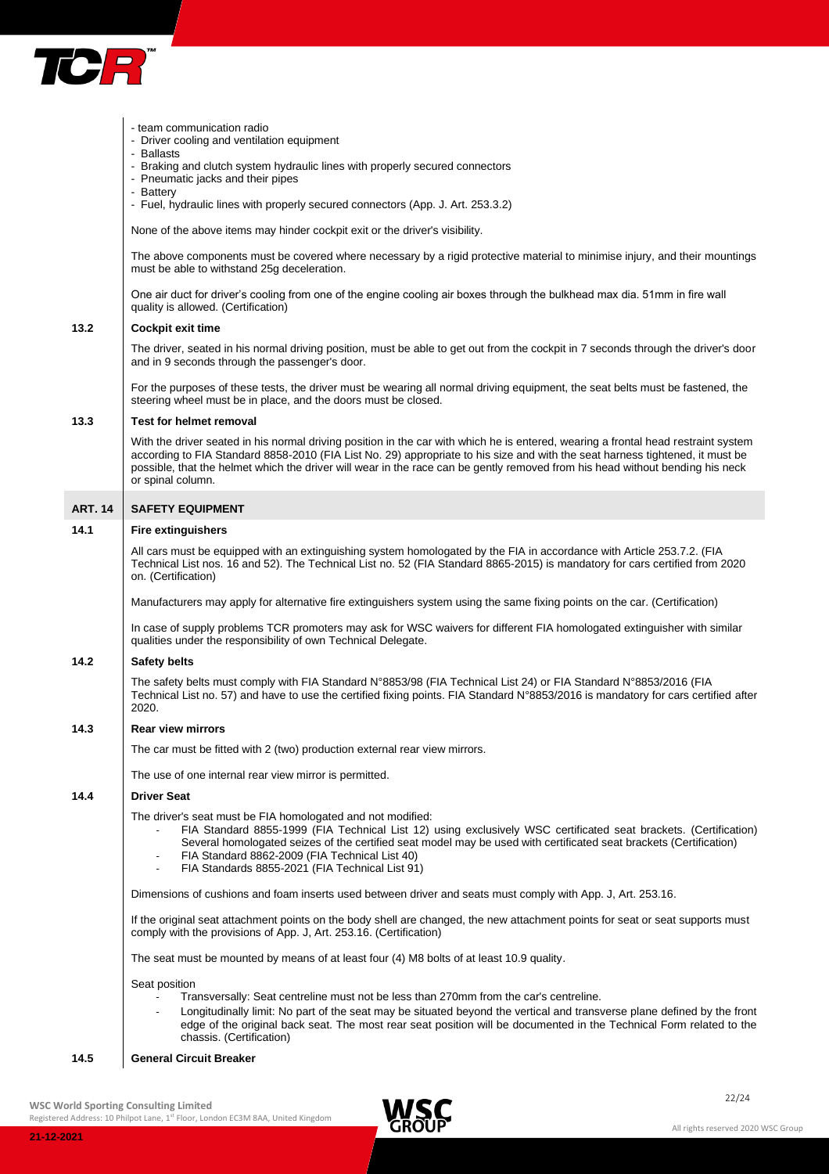

|                | - team communication radio<br>- Driver cooling and ventilation equipment                                                                                                                                                                                                                                                                                                                                                     |
|----------------|------------------------------------------------------------------------------------------------------------------------------------------------------------------------------------------------------------------------------------------------------------------------------------------------------------------------------------------------------------------------------------------------------------------------------|
|                | - Ballasts<br>- Braking and clutch system hydraulic lines with properly secured connectors<br>- Pneumatic jacks and their pipes                                                                                                                                                                                                                                                                                              |
|                | - Battery<br>- Fuel, hydraulic lines with properly secured connectors (App. J. Art. 253.3.2)                                                                                                                                                                                                                                                                                                                                 |
|                | None of the above items may hinder cockpit exit or the driver's visibility.                                                                                                                                                                                                                                                                                                                                                  |
|                | The above components must be covered where necessary by a rigid protective material to minimise injury, and their mountings<br>must be able to withstand 25g deceleration.                                                                                                                                                                                                                                                   |
|                | One air duct for driver's cooling from one of the engine cooling air boxes through the bulkhead max dia. 51mm in fire wall<br>quality is allowed. (Certification)                                                                                                                                                                                                                                                            |
| 13.2           | <b>Cockpit exit time</b>                                                                                                                                                                                                                                                                                                                                                                                                     |
|                | The driver, seated in his normal driving position, must be able to get out from the cockpit in 7 seconds through the driver's door<br>and in 9 seconds through the passenger's door.                                                                                                                                                                                                                                         |
|                | For the purposes of these tests, the driver must be wearing all normal driving equipment, the seat belts must be fastened, the<br>steering wheel must be in place, and the doors must be closed.                                                                                                                                                                                                                             |
| 13.3           | <b>Test for helmet removal</b>                                                                                                                                                                                                                                                                                                                                                                                               |
|                | With the driver seated in his normal driving position in the car with which he is entered, wearing a frontal head restraint system<br>according to FIA Standard 8858-2010 (FIA List No. 29) appropriate to his size and with the seat harness tightened, it must be<br>possible, that the helmet which the driver will wear in the race can be gently removed from his head without bending his neck<br>or spinal column.    |
| <b>ART. 14</b> | <b>SAFETY EQUIPMENT</b>                                                                                                                                                                                                                                                                                                                                                                                                      |
| 14.1           | <b>Fire extinguishers</b>                                                                                                                                                                                                                                                                                                                                                                                                    |
|                | All cars must be equipped with an extinguishing system homologated by the FIA in accordance with Article 253.7.2. (FIA<br>Technical List nos. 16 and 52). The Technical List no. 52 (FIA Standard 8865-2015) is mandatory for cars certified from 2020<br>on. (Certification)                                                                                                                                                |
|                | Manufacturers may apply for alternative fire extinguishers system using the same fixing points on the car. (Certification)                                                                                                                                                                                                                                                                                                   |
|                | In case of supply problems TCR promoters may ask for WSC waivers for different FIA homologated extinguisher with similar<br>qualities under the responsibility of own Technical Delegate.                                                                                                                                                                                                                                    |
| 14.2           | <b>Safety belts</b>                                                                                                                                                                                                                                                                                                                                                                                                          |
|                | The safety belts must comply with FIA Standard N°8853/98 (FIA Technical List 24) or FIA Standard N°8853/2016 (FIA<br>Technical List no. 57) and have to use the certified fixing points. FIA Standard N°8853/2016 is mandatory for cars certified after<br>2020.                                                                                                                                                             |
| 14.3           | <b>Rear view mirrors</b>                                                                                                                                                                                                                                                                                                                                                                                                     |
|                | The car must be fitted with 2 (two) production external rear view mirrors.                                                                                                                                                                                                                                                                                                                                                   |
|                | The use of one internal rear view mirror is permitted.                                                                                                                                                                                                                                                                                                                                                                       |
| 14.4           | <b>Driver Seat</b>                                                                                                                                                                                                                                                                                                                                                                                                           |
|                | The driver's seat must be FIA homologated and not modified:<br>FIA Standard 8855-1999 (FIA Technical List 12) using exclusively WSC certificated seat brackets. (Certification)<br>Several homologated seizes of the certified seat model may be used with certificated seat brackets (Certification)<br>FIA Standard 8862-2009 (FIA Technical List 40)<br>FIA Standards 8855-2021 (FIA Technical List 91)<br>$\blacksquare$ |
|                | Dimensions of cushions and foam inserts used between driver and seats must comply with App. J, Art. 253.16.                                                                                                                                                                                                                                                                                                                  |
|                | If the original seat attachment points on the body shell are changed, the new attachment points for seat or seat supports must<br>comply with the provisions of App. J, Art. 253.16. (Certification)                                                                                                                                                                                                                         |
|                | The seat must be mounted by means of at least four (4) M8 bolts of at least 10.9 quality.                                                                                                                                                                                                                                                                                                                                    |
|                | Seat position                                                                                                                                                                                                                                                                                                                                                                                                                |
|                | Transversally: Seat centreline must not be less than 270mm from the car's centreline.<br>Longitudinally limit: No part of the seat may be situated beyond the vertical and transverse plane defined by the front<br>edge of the original back seat. The most rear seat position will be documented in the Technical Form related to the<br>chassis. (Certification)                                                          |
| 14.5           | <b>General Circuit Breaker</b>                                                                                                                                                                                                                                                                                                                                                                                               |

WSC World Sporting Consulting Limited and Consulting Limited and Consulting Limited and Consulting Limited and Consulting Limited and Consulting Limited and Consulting Limited and Consulting Limited and Consulting Limited

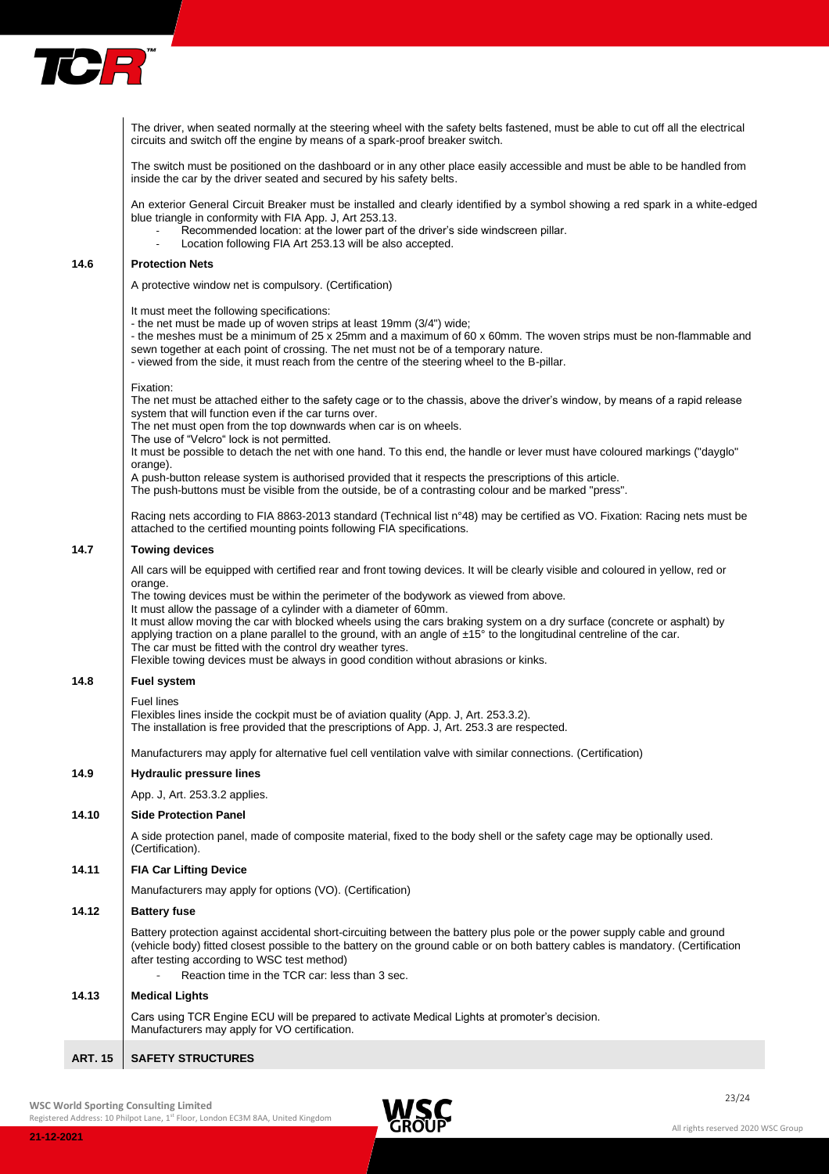

|       | The driver, when seated normally at the steering wheel with the safety belts fastened, must be able to cut off all the electrical<br>circuits and switch off the engine by means of a spark-proof breaker switch.                                                                                                                                                                                                                                                                                                                                                                                                                                                                                                                |
|-------|----------------------------------------------------------------------------------------------------------------------------------------------------------------------------------------------------------------------------------------------------------------------------------------------------------------------------------------------------------------------------------------------------------------------------------------------------------------------------------------------------------------------------------------------------------------------------------------------------------------------------------------------------------------------------------------------------------------------------------|
|       | The switch must be positioned on the dashboard or in any other place easily accessible and must be able to be handled from<br>inside the car by the driver seated and secured by his safety belts.                                                                                                                                                                                                                                                                                                                                                                                                                                                                                                                               |
|       | An exterior General Circuit Breaker must be installed and clearly identified by a symbol showing a red spark in a white-edged<br>blue triangle in conformity with FIA App. J, Art 253.13.<br>Recommended location: at the lower part of the driver's side windscreen pillar.<br>Location following FIA Art 253.13 will be also accepted.                                                                                                                                                                                                                                                                                                                                                                                         |
| 14.6  | <b>Protection Nets</b>                                                                                                                                                                                                                                                                                                                                                                                                                                                                                                                                                                                                                                                                                                           |
|       | A protective window net is compulsory. (Certification)                                                                                                                                                                                                                                                                                                                                                                                                                                                                                                                                                                                                                                                                           |
|       | It must meet the following specifications:<br>- the net must be made up of woven strips at least 19mm (3/4") wide;<br>- the meshes must be a minimum of 25 x 25mm and a maximum of 60 x 60mm. The woven strips must be non-flammable and<br>sewn together at each point of crossing. The net must not be of a temporary nature.<br>- viewed from the side, it must reach from the centre of the steering wheel to the B-pillar.                                                                                                                                                                                                                                                                                                  |
|       | Fixation:<br>The net must be attached either to the safety cage or to the chassis, above the driver's window, by means of a rapid release<br>system that will function even if the car turns over.<br>The net must open from the top downwards when car is on wheels.<br>The use of "Velcro" lock is not permitted.                                                                                                                                                                                                                                                                                                                                                                                                              |
|       | It must be possible to detach the net with one hand. To this end, the handle or lever must have coloured markings ("dayglo"<br>orange).                                                                                                                                                                                                                                                                                                                                                                                                                                                                                                                                                                                          |
|       | A push-button release system is authorised provided that it respects the prescriptions of this article.<br>The push-buttons must be visible from the outside, be of a contrasting colour and be marked "press".                                                                                                                                                                                                                                                                                                                                                                                                                                                                                                                  |
|       | Racing nets according to FIA 8863-2013 standard (Technical list n°48) may be certified as VO. Fixation: Racing nets must be<br>attached to the certified mounting points following FIA specifications.                                                                                                                                                                                                                                                                                                                                                                                                                                                                                                                           |
| 14.7  | <b>Towing devices</b>                                                                                                                                                                                                                                                                                                                                                                                                                                                                                                                                                                                                                                                                                                            |
|       | All cars will be equipped with certified rear and front towing devices. It will be clearly visible and coloured in yellow, red or<br>orange.<br>The towing devices must be within the perimeter of the bodywork as viewed from above.<br>It must allow the passage of a cylinder with a diameter of 60mm.<br>It must allow moving the car with blocked wheels using the cars braking system on a dry surface (concrete or asphalt) by<br>applying traction on a plane parallel to the ground, with an angle of $\pm 15^{\circ}$ to the longitudinal centreline of the car.<br>The car must be fitted with the control dry weather tyres.<br>Flexible towing devices must be always in good condition without abrasions or kinks. |
| 14.8  | <b>Fuel system</b>                                                                                                                                                                                                                                                                                                                                                                                                                                                                                                                                                                                                                                                                                                               |
|       | <b>Fuel lines</b><br>Flexibles lines inside the cockpit must be of aviation quality (App. J, Art. 253.3.2).<br>The installation is free provided that the prescriptions of App. J, Art. 253.3 are respected.                                                                                                                                                                                                                                                                                                                                                                                                                                                                                                                     |
|       | Manufacturers may apply for alternative fuel cell ventilation valve with similar connections. (Certification)                                                                                                                                                                                                                                                                                                                                                                                                                                                                                                                                                                                                                    |
| 14.9  | <b>Hydraulic pressure lines</b>                                                                                                                                                                                                                                                                                                                                                                                                                                                                                                                                                                                                                                                                                                  |
|       | App. J, Art. 253.3.2 applies.                                                                                                                                                                                                                                                                                                                                                                                                                                                                                                                                                                                                                                                                                                    |
| 14.10 | <b>Side Protection Panel</b>                                                                                                                                                                                                                                                                                                                                                                                                                                                                                                                                                                                                                                                                                                     |
|       | A side protection panel, made of composite material, fixed to the body shell or the safety cage may be optionally used.<br>(Certification).                                                                                                                                                                                                                                                                                                                                                                                                                                                                                                                                                                                      |
| 14.11 | <b>FIA Car Lifting Device</b>                                                                                                                                                                                                                                                                                                                                                                                                                                                                                                                                                                                                                                                                                                    |
|       | Manufacturers may apply for options (VO). (Certification)                                                                                                                                                                                                                                                                                                                                                                                                                                                                                                                                                                                                                                                                        |
| 14.12 | <b>Battery fuse</b>                                                                                                                                                                                                                                                                                                                                                                                                                                                                                                                                                                                                                                                                                                              |
|       | Battery protection against accidental short-circuiting between the battery plus pole or the power supply cable and ground<br>(vehicle body) fitted closest possible to the battery on the ground cable or on both battery cables is mandatory. (Certification<br>after testing according to WSC test method)<br>Reaction time in the TCR car: less than 3 sec.                                                                                                                                                                                                                                                                                                                                                                   |
| 14.13 | <b>Medical Lights</b>                                                                                                                                                                                                                                                                                                                                                                                                                                                                                                                                                                                                                                                                                                            |
|       | Cars using TCR Engine ECU will be prepared to activate Medical Lights at promoter's decision.<br>Manufacturers may apply for VO certification.                                                                                                                                                                                                                                                                                                                                                                                                                                                                                                                                                                                   |
|       |                                                                                                                                                                                                                                                                                                                                                                                                                                                                                                                                                                                                                                                                                                                                  |

## **ART. 15 SAFETY STRUCTURES**

WSC World Sporting Consulting Limited and Consulting Limited and Consulting Limited and Consulting Limited and Consulting Limited and Consulting Limited and Consulting Limited and Consulting Limited and Consulting Limited

**21-12-2021**